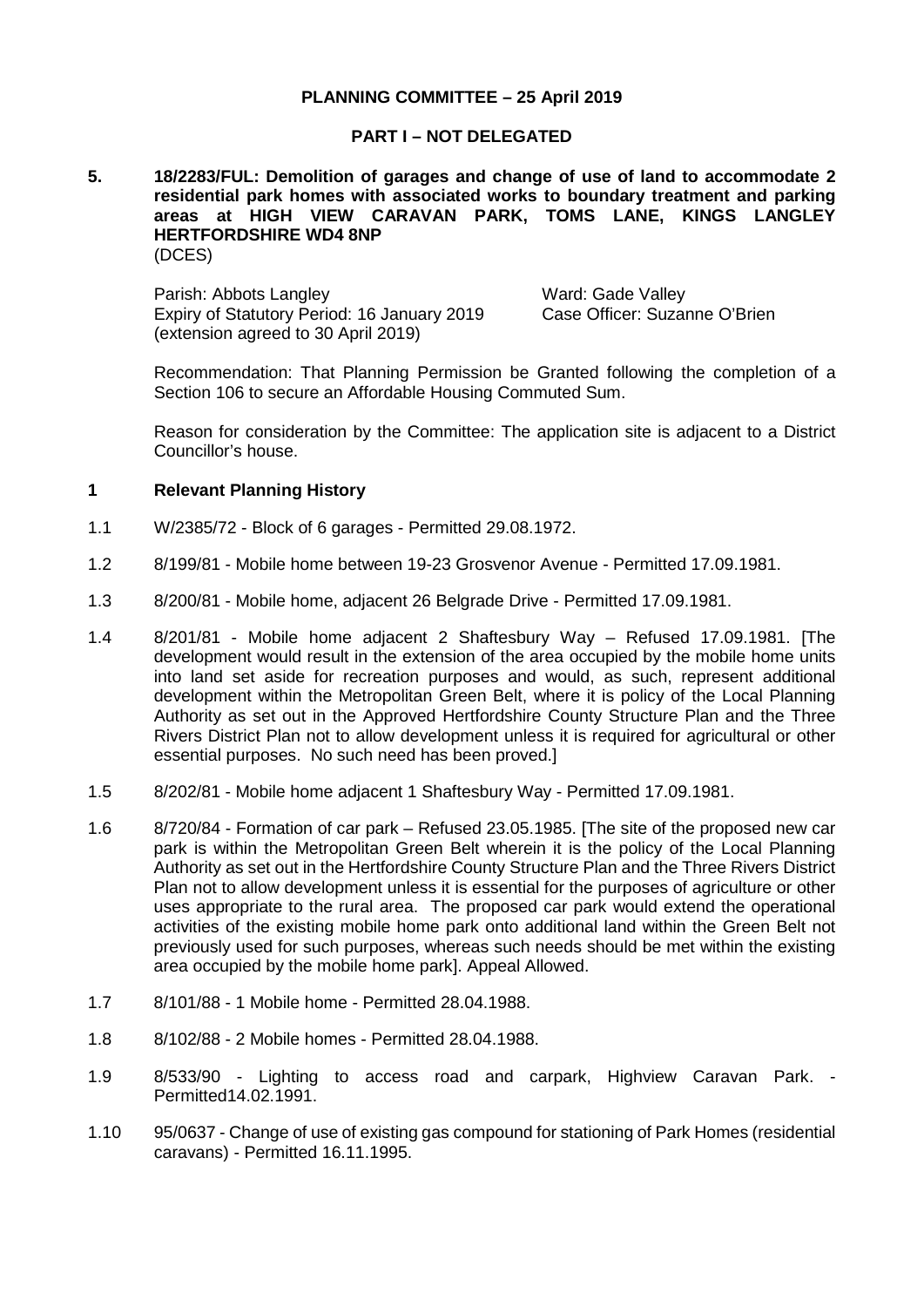### **PLANNING COMMITTEE – 25 April 2019**

#### **PART I – NOT DELEGATED**

#### **5. 18/2283/FUL: Demolition of garages and change of use of land to accommodate 2 residential park homes with associated works to boundary treatment and parking areas at HIGH VIEW CARAVAN PARK, TOMS LANE, KINGS LANGLEY HERTFORDSHIRE WD4 8NP** (DCES)

Parish: Abbots Langley Ward: Gade Valley Expiry of Statutory Period: 16 January 2019 (extension agreed to 30 April 2019)

Case Officer: Suzanne O'Brien

Recommendation: That Planning Permission be Granted following the completion of a Section 106 to secure an Affordable Housing Commuted Sum.

Reason for consideration by the Committee: The application site is adjacent to a District Councillor's house.

#### **1 Relevant Planning History**

- 1.1 W/2385/72 Block of 6 garages Permitted 29.08.1972.
- 1.2 8/199/81 Mobile home between 19-23 Grosvenor Avenue Permitted 17.09.1981.
- 1.3 8/200/81 Mobile home, adjacent 26 Belgrade Drive Permitted 17.09.1981.
- 1.4 8/201/81 Mobile home adjacent 2 Shaftesbury Way Refused 17.09.1981. [The development would result in the extension of the area occupied by the mobile home units into land set aside for recreation purposes and would, as such, represent additional development within the Metropolitan Green Belt, where it is policy of the Local Planning Authority as set out in the Approved Hertfordshire County Structure Plan and the Three Rivers District Plan not to allow development unless it is required for agricultural or other essential purposes. No such need has been proved.]
- 1.5 8/202/81 Mobile home adjacent 1 Shaftesbury Way Permitted 17.09.1981.
- 1.6 8/720/84 Formation of car park Refused 23.05.1985. [The site of the proposed new car park is within the Metropolitan Green Belt wherein it is the policy of the Local Planning Authority as set out in the Hertfordshire County Structure Plan and the Three Rivers District Plan not to allow development unless it is essential for the purposes of agriculture or other uses appropriate to the rural area. The proposed car park would extend the operational activities of the existing mobile home park onto additional land within the Green Belt not previously used for such purposes, whereas such needs should be met within the existing area occupied by the mobile home park]. Appeal Allowed.
- 1.7 8/101/88 1 Mobile home Permitted 28.04.1988.
- 1.8 8/102/88 2 Mobile homes Permitted 28.04.1988.
- 1.9 8/533/90 Lighting to access road and carpark, Highview Caravan Park. Permitted14.02.1991.
- 1.10 95/0637 Change of use of existing gas compound for stationing of Park Homes (residential caravans) - Permitted 16.11.1995.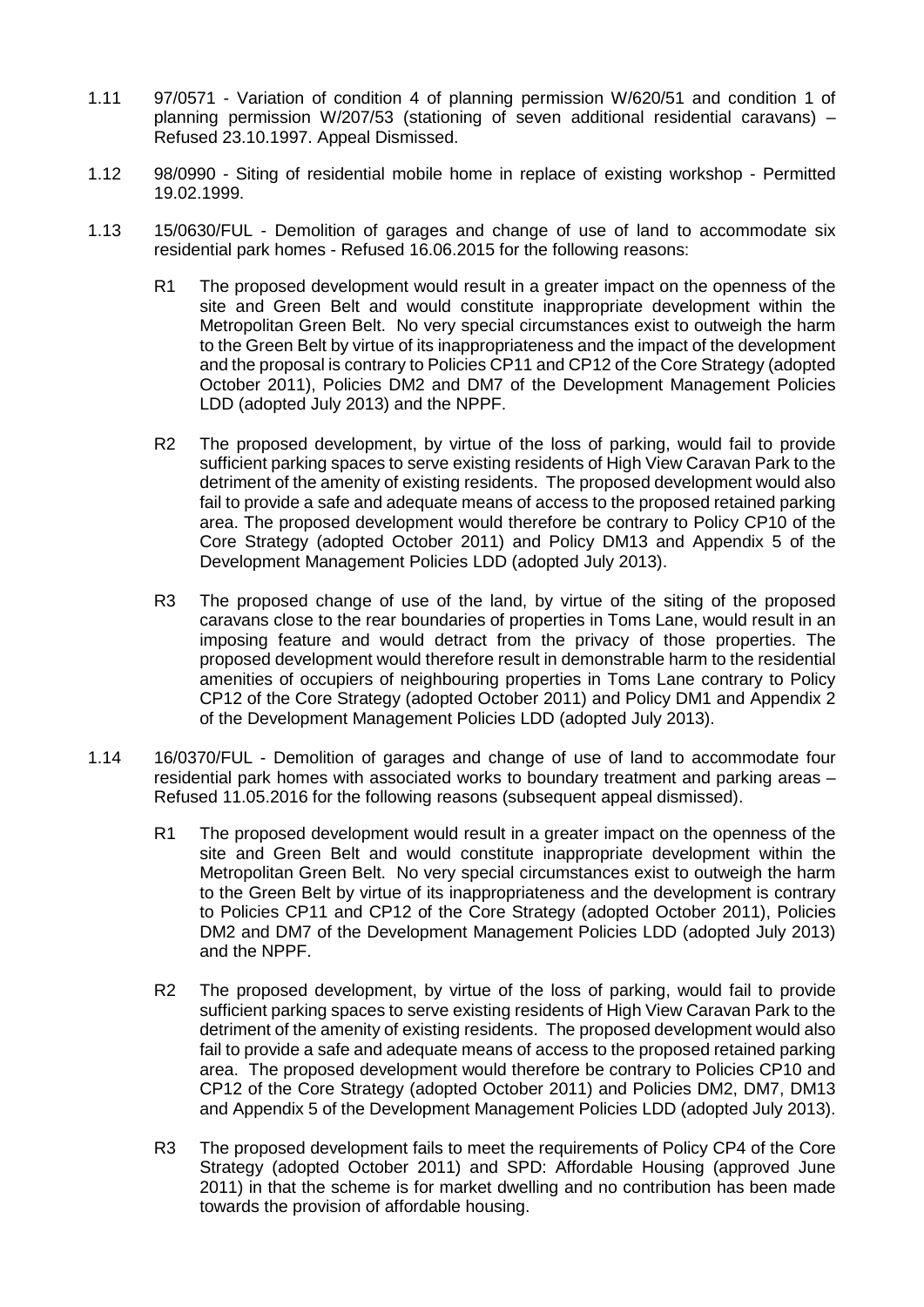- 1.11 97/0571 Variation of condition 4 of planning permission W/620/51 and condition 1 of planning permission W/207/53 (stationing of seven additional residential caravans) – Refused 23.10.1997. Appeal Dismissed.
- 1.12 98/0990 Siting of residential mobile home in replace of existing workshop Permitted 19.02.1999.
- 1.13 15/0630/FUL Demolition of garages and change of use of land to accommodate six residential park homes - Refused 16.06.2015 for the following reasons:
	- R1 The proposed development would result in a greater impact on the openness of the site and Green Belt and would constitute inappropriate development within the Metropolitan Green Belt. No very special circumstances exist to outweigh the harm to the Green Belt by virtue of its inappropriateness and the impact of the development and the proposal is contrary to Policies CP11 and CP12 of the Core Strategy (adopted October 2011), Policies DM2 and DM7 of the Development Management Policies LDD (adopted July 2013) and the NPPF.
	- R2 The proposed development, by virtue of the loss of parking, would fail to provide sufficient parking spaces to serve existing residents of High View Caravan Park to the detriment of the amenity of existing residents. The proposed development would also fail to provide a safe and adequate means of access to the proposed retained parking area. The proposed development would therefore be contrary to Policy CP10 of the Core Strategy (adopted October 2011) and Policy DM13 and Appendix 5 of the Development Management Policies LDD (adopted July 2013).
	- R3 The proposed change of use of the land, by virtue of the siting of the proposed caravans close to the rear boundaries of properties in Toms Lane, would result in an imposing feature and would detract from the privacy of those properties. The proposed development would therefore result in demonstrable harm to the residential amenities of occupiers of neighbouring properties in Toms Lane contrary to Policy CP12 of the Core Strategy (adopted October 2011) and Policy DM1 and Appendix 2 of the Development Management Policies LDD (adopted July 2013).
- 1.14 16/0370/FUL Demolition of garages and change of use of land to accommodate four residential park homes with associated works to boundary treatment and parking areas – Refused 11.05.2016 for the following reasons (subsequent appeal dismissed).
	- R1 The proposed development would result in a greater impact on the openness of the site and Green Belt and would constitute inappropriate development within the Metropolitan Green Belt. No very special circumstances exist to outweigh the harm to the Green Belt by virtue of its inappropriateness and the development is contrary to Policies CP11 and CP12 of the Core Strategy (adopted October 2011), Policies DM2 and DM7 of the Development Management Policies LDD (adopted July 2013) and the NPPF.
	- R2 The proposed development, by virtue of the loss of parking, would fail to provide sufficient parking spaces to serve existing residents of High View Caravan Park to the detriment of the amenity of existing residents. The proposed development would also fail to provide a safe and adequate means of access to the proposed retained parking area. The proposed development would therefore be contrary to Policies CP10 and CP12 of the Core Strategy (adopted October 2011) and Policies DM2, DM7, DM13 and Appendix 5 of the Development Management Policies LDD (adopted July 2013).
	- R3 The proposed development fails to meet the requirements of Policy CP4 of the Core Strategy (adopted October 2011) and SPD: Affordable Housing (approved June 2011) in that the scheme is for market dwelling and no contribution has been made towards the provision of affordable housing.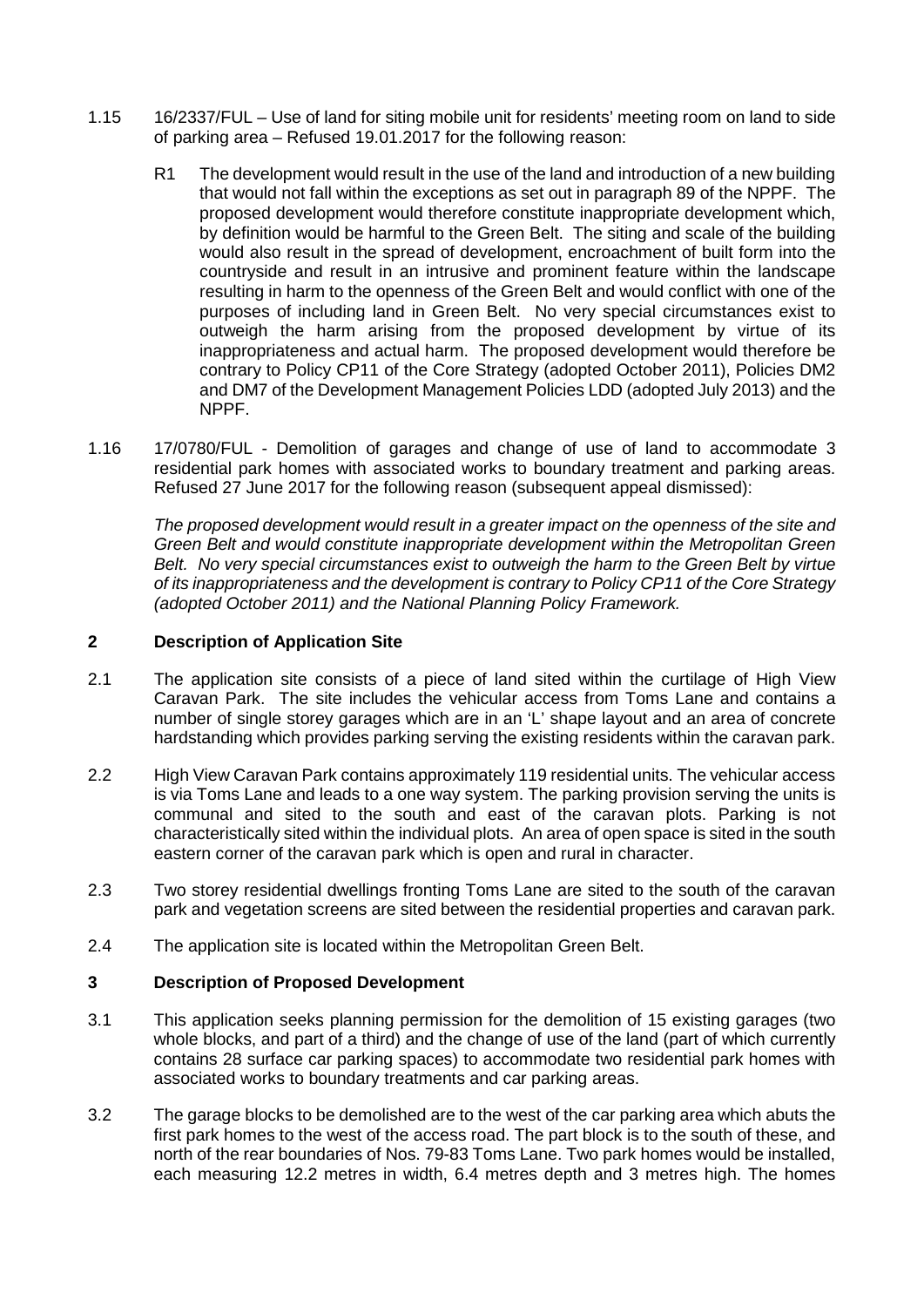- 1.15 16/2337/FUL Use of land for siting mobile unit for residents' meeting room on land to side of parking area – Refused 19.01.2017 for the following reason:
	- R1 The development would result in the use of the land and introduction of a new building that would not fall within the exceptions as set out in paragraph 89 of the NPPF. The proposed development would therefore constitute inappropriate development which, by definition would be harmful to the Green Belt. The siting and scale of the building would also result in the spread of development, encroachment of built form into the countryside and result in an intrusive and prominent feature within the landscape resulting in harm to the openness of the Green Belt and would conflict with one of the purposes of including land in Green Belt. No very special circumstances exist to outweigh the harm arising from the proposed development by virtue of its inappropriateness and actual harm. The proposed development would therefore be contrary to Policy CP11 of the Core Strategy (adopted October 2011), Policies DM2 and DM7 of the Development Management Policies LDD (adopted July 2013) and the NPPF.
- 1.16 17/0780/FUL Demolition of garages and change of use of land to accommodate 3 residential park homes with associated works to boundary treatment and parking areas. Refused 27 June 2017 for the following reason (subsequent appeal dismissed):

*The proposed development would result in a greater impact on the openness of the site and Green Belt and would constitute inappropriate development within the Metropolitan Green Belt. No very special circumstances exist to outweigh the harm to the Green Belt by virtue of its inappropriateness and the development is contrary to Policy CP11 of the Core Strategy (adopted October 2011) and the National Planning Policy Framework.*

## **2 Description of Application Site**

- 2.1 The application site consists of a piece of land sited within the curtilage of High View Caravan Park. The site includes the vehicular access from Toms Lane and contains a number of single storey garages which are in an 'L' shape layout and an area of concrete hardstanding which provides parking serving the existing residents within the caravan park.
- 2.2 High View Caravan Park contains approximately 119 residential units. The vehicular access is via Toms Lane and leads to a one way system. The parking provision serving the units is communal and sited to the south and east of the caravan plots. Parking is not characteristically sited within the individual plots. An area of open space is sited in the south eastern corner of the caravan park which is open and rural in character.
- 2.3 Two storey residential dwellings fronting Toms Lane are sited to the south of the caravan park and vegetation screens are sited between the residential properties and caravan park.
- 2.4 The application site is located within the Metropolitan Green Belt.

# **3 Description of Proposed Development**

- 3.1 This application seeks planning permission for the demolition of 15 existing garages (two whole blocks, and part of a third) and the change of use of the land (part of which currently contains 28 surface car parking spaces) to accommodate two residential park homes with associated works to boundary treatments and car parking areas.
- 3.2 The garage blocks to be demolished are to the west of the car parking area which abuts the first park homes to the west of the access road. The part block is to the south of these, and north of the rear boundaries of Nos. 79-83 Toms Lane. Two park homes would be installed, each measuring 12.2 metres in width, 6.4 metres depth and 3 metres high. The homes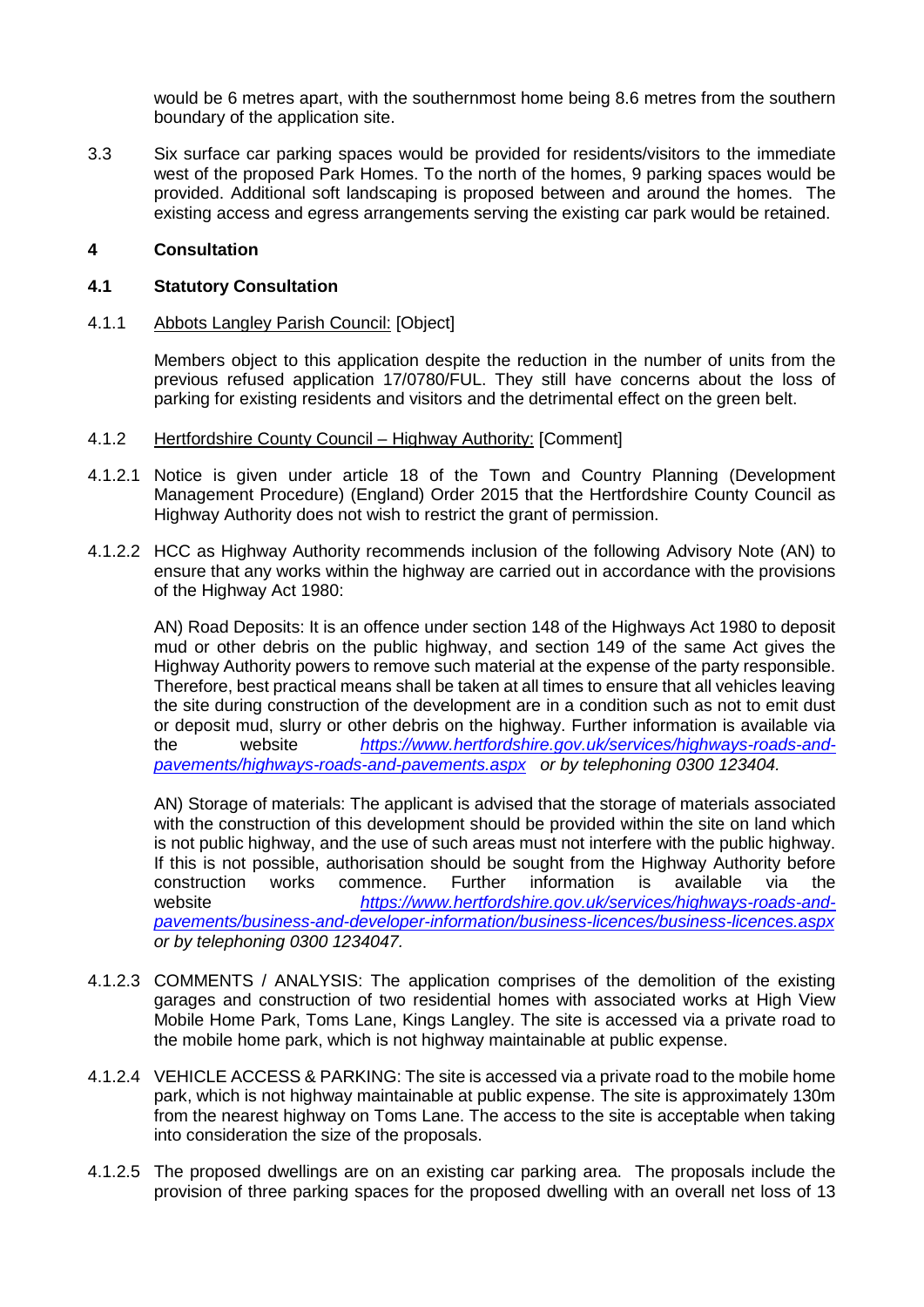would be 6 metres apart, with the southernmost home being 8.6 metres from the southern boundary of the application site.

3.3 Six surface car parking spaces would be provided for residents/visitors to the immediate west of the proposed Park Homes. To the north of the homes, 9 parking spaces would be provided. Additional soft landscaping is proposed between and around the homes. The existing access and egress arrangements serving the existing car park would be retained.

### **4 Consultation**

#### **4.1 Statutory Consultation**

4.1.1 Abbots Langley Parish Council: [Object]

Members object to this application despite the reduction in the number of units from the previous refused application 17/0780/FUL. They still have concerns about the loss of parking for existing residents and visitors and the detrimental effect on the green belt.

- 4.1.2 Hertfordshire County Council Highway Authority: [Comment]
- 4.1.2.1 Notice is given under article 18 of the Town and Country Planning (Development Management Procedure) (England) Order 2015 that the Hertfordshire County Council as Highway Authority does not wish to restrict the grant of permission.
- 4.1.2.2 HCC as Highway Authority recommends inclusion of the following Advisory Note (AN) to ensure that any works within the highway are carried out in accordance with the provisions of the Highway Act 1980:

AN) Road Deposits: It is an offence under section 148 of the Highways Act 1980 to deposit mud or other debris on the public highway, and section 149 of the same Act gives the Highway Authority powers to remove such material at the expense of the party responsible. Therefore, best practical means shall be taken at all times to ensure that all vehicles leaving the site during construction of the development are in a condition such as not to emit dust or deposit mud, slurry or other debris on the highway. Further information is available via the website *[https://www.hertfordshire.gov.uk/services/highways-roads-and](https://www.hertfordshire.gov.uk/services/highways-roads-and-pavements/highways-roads-and-pavements.aspx)[pavements/highways-roads-and-pavements.aspx](https://www.hertfordshire.gov.uk/services/highways-roads-and-pavements/highways-roads-and-pavements.aspx) or by telephoning 0300 123404.*

AN) Storage of materials: The applicant is advised that the storage of materials associated with the construction of this development should be provided within the site on land which is not public highway, and the use of such areas must not interfere with the public highway. If this is not possible, authorisation should be sought from the Highway Authority before<br>construction works commence. Further information is available via the construction website *[https://www.hertfordshire.gov.uk/services/highways-roads-and](https://www.hertfordshire.gov.uk/services/highways-roads-and-pavements/business-and-developer-information/business-licences/business-licences.aspx)[pavements/business-and-developer-information/business-licences/business-licences.aspx](https://www.hertfordshire.gov.uk/services/highways-roads-and-pavements/business-and-developer-information/business-licences/business-licences.aspx) or by telephoning 0300 1234047.*

- 4.1.2.3 COMMENTS / ANALYSIS: The application comprises of the demolition of the existing garages and construction of two residential homes with associated works at High View Mobile Home Park, Toms Lane, Kings Langley. The site is accessed via a private road to the mobile home park, which is not highway maintainable at public expense.
- 4.1.2.4 VEHICLE ACCESS & PARKING: The site is accessed via a private road to the mobile home park, which is not highway maintainable at public expense. The site is approximately 130m from the nearest highway on Toms Lane. The access to the site is acceptable when taking into consideration the size of the proposals.
- 4.1.2.5 The proposed dwellings are on an existing car parking area. The proposals include the provision of three parking spaces for the proposed dwelling with an overall net loss of 13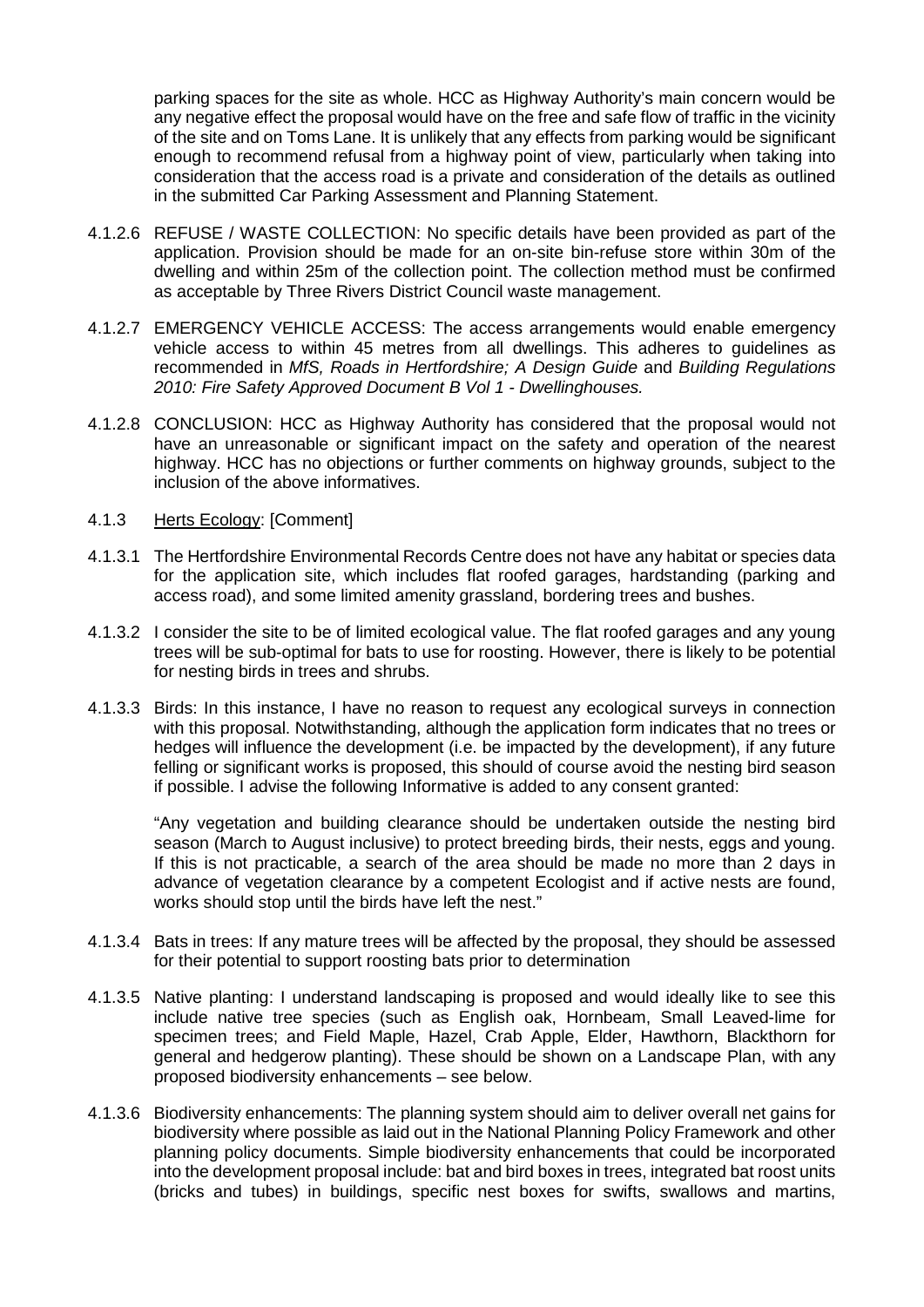parking spaces for the site as whole. HCC as Highway Authority's main concern would be any negative effect the proposal would have on the free and safe flow of traffic in the vicinity of the site and on Toms Lane. It is unlikely that any effects from parking would be significant enough to recommend refusal from a highway point of view, particularly when taking into consideration that the access road is a private and consideration of the details as outlined in the submitted Car Parking Assessment and Planning Statement.

- 4.1.2.6 REFUSE / WASTE COLLECTION: No specific details have been provided as part of the application. Provision should be made for an on-site bin-refuse store within 30m of the dwelling and within 25m of the collection point. The collection method must be confirmed as acceptable by Three Rivers District Council waste management.
- 4.1.2.7 EMERGENCY VEHICLE ACCESS: The access arrangements would enable emergency vehicle access to within 45 metres from all dwellings. This adheres to guidelines as recommended in *MfS, Roads in Hertfordshire; A Design Guide* and *Building Regulations 2010: Fire Safety Approved Document B Vol 1 - Dwellinghouses.*
- 4.1.2.8 CONCLUSION: HCC as Highway Authority has considered that the proposal would not have an unreasonable or significant impact on the safety and operation of the nearest highway. HCC has no objections or further comments on highway grounds, subject to the inclusion of the above informatives.
- 4.1.3 Herts Ecology: [Comment]
- 4.1.3.1 The Hertfordshire Environmental Records Centre does not have any habitat or species data for the application site, which includes flat roofed garages, hardstanding (parking and access road), and some limited amenity grassland, bordering trees and bushes.
- 4.1.3.2 I consider the site to be of limited ecological value. The flat roofed garages and any young trees will be sub-optimal for bats to use for roosting. However, there is likely to be potential for nesting birds in trees and shrubs.
- 4.1.3.3 Birds: In this instance, I have no reason to request any ecological surveys in connection with this proposal. Notwithstanding, although the application form indicates that no trees or hedges will influence the development (i.e. be impacted by the development), if any future felling or significant works is proposed, this should of course avoid the nesting bird season if possible. I advise the following Informative is added to any consent granted:

"Any vegetation and building clearance should be undertaken outside the nesting bird season (March to August inclusive) to protect breeding birds, their nests, eggs and young. If this is not practicable, a search of the area should be made no more than 2 days in advance of vegetation clearance by a competent Ecologist and if active nests are found, works should stop until the birds have left the nest."

- 4.1.3.4 Bats in trees: If any mature trees will be affected by the proposal, they should be assessed for their potential to support roosting bats prior to determination
- 4.1.3.5 Native planting: I understand landscaping is proposed and would ideally like to see this include native tree species (such as English oak, Hornbeam, Small Leaved-lime for specimen trees; and Field Maple, Hazel, Crab Apple, Elder, Hawthorn, Blackthorn for general and hedgerow planting). These should be shown on a Landscape Plan, with any proposed biodiversity enhancements – see below.
- 4.1.3.6 Biodiversity enhancements: The planning system should aim to deliver overall net gains for biodiversity where possible as laid out in the National Planning Policy Framework and other planning policy documents. Simple biodiversity enhancements that could be incorporated into the development proposal include: bat and bird boxes in trees, integrated bat roost units (bricks and tubes) in buildings, specific nest boxes for swifts, swallows and martins,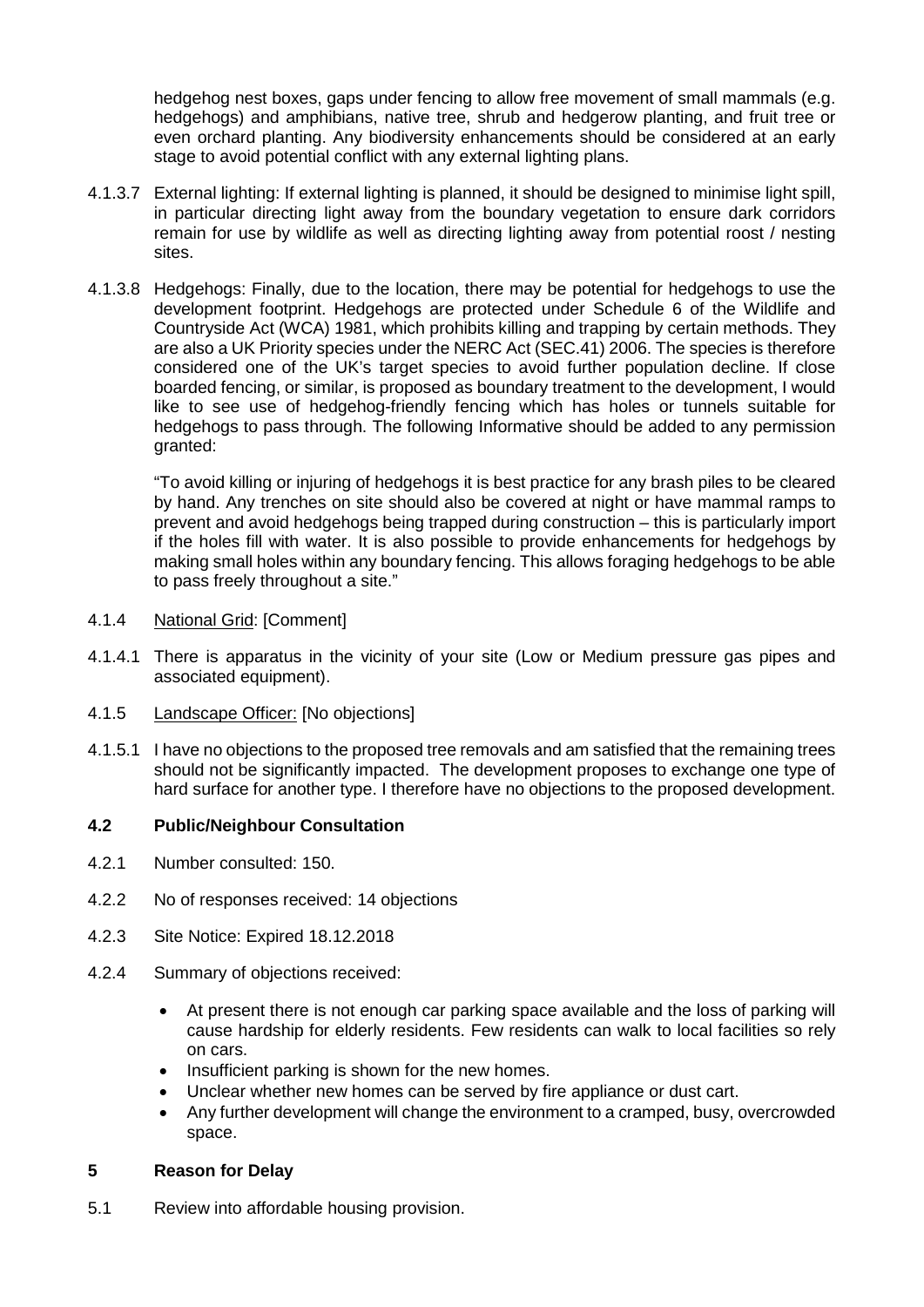hedgehog nest boxes, gaps under fencing to allow free movement of small mammals (e.g. hedgehogs) and amphibians, native tree, shrub and hedgerow planting, and fruit tree or even orchard planting. Any biodiversity enhancements should be considered at an early stage to avoid potential conflict with any external lighting plans.

- 4.1.3.7 External lighting: If external lighting is planned, it should be designed to minimise light spill, in particular directing light away from the boundary vegetation to ensure dark corridors remain for use by wildlife as well as directing lighting away from potential roost / nesting sites.
- 4.1.3.8 Hedgehogs: Finally, due to the location, there may be potential for hedgehogs to use the development footprint. Hedgehogs are protected under Schedule 6 of the Wildlife and Countryside Act (WCA) 1981, which prohibits killing and trapping by certain methods. They are also a UK Priority species under the NERC Act (SEC.41) 2006. The species is therefore considered one of the UK's target species to avoid further population decline. If close boarded fencing, or similar, is proposed as boundary treatment to the development, I would like to see use of hedgehog-friendly fencing which has holes or tunnels suitable for hedgehogs to pass through. The following Informative should be added to any permission granted:

"To avoid killing or injuring of hedgehogs it is best practice for any brash piles to be cleared by hand. Any trenches on site should also be covered at night or have mammal ramps to prevent and avoid hedgehogs being trapped during construction – this is particularly import if the holes fill with water. It is also possible to provide enhancements for hedgehogs by making small holes within any boundary fencing. This allows foraging hedgehogs to be able to pass freely throughout a site."

- 4.1.4 National Grid: [Comment]
- 4.1.4.1 There is apparatus in the vicinity of your site (Low or Medium pressure gas pipes and associated equipment).
- 4.1.5 Landscape Officer: [No objections]
- 4.1.5.1 I have no objections to the proposed tree removals and am satisfied that the remaining trees should not be significantly impacted. The development proposes to exchange one type of hard surface for another type. I therefore have no objections to the proposed development.

# **4.2 Public/Neighbour Consultation**

- 4.2.1 Number consulted: 150.
- 4.2.2 No of responses received: 14 objections
- 4.2.3 Site Notice: Expired 18.12.2018
- 4.2.4 Summary of objections received:
	- At present there is not enough car parking space available and the loss of parking will cause hardship for elderly residents. Few residents can walk to local facilities so rely on cars.
	- Insufficient parking is shown for the new homes.
	- Unclear whether new homes can be served by fire appliance or dust cart.
	- Any further development will change the environment to a cramped, busy, overcrowded space.

## **5 Reason for Delay**

5.1 Review into affordable housing provision.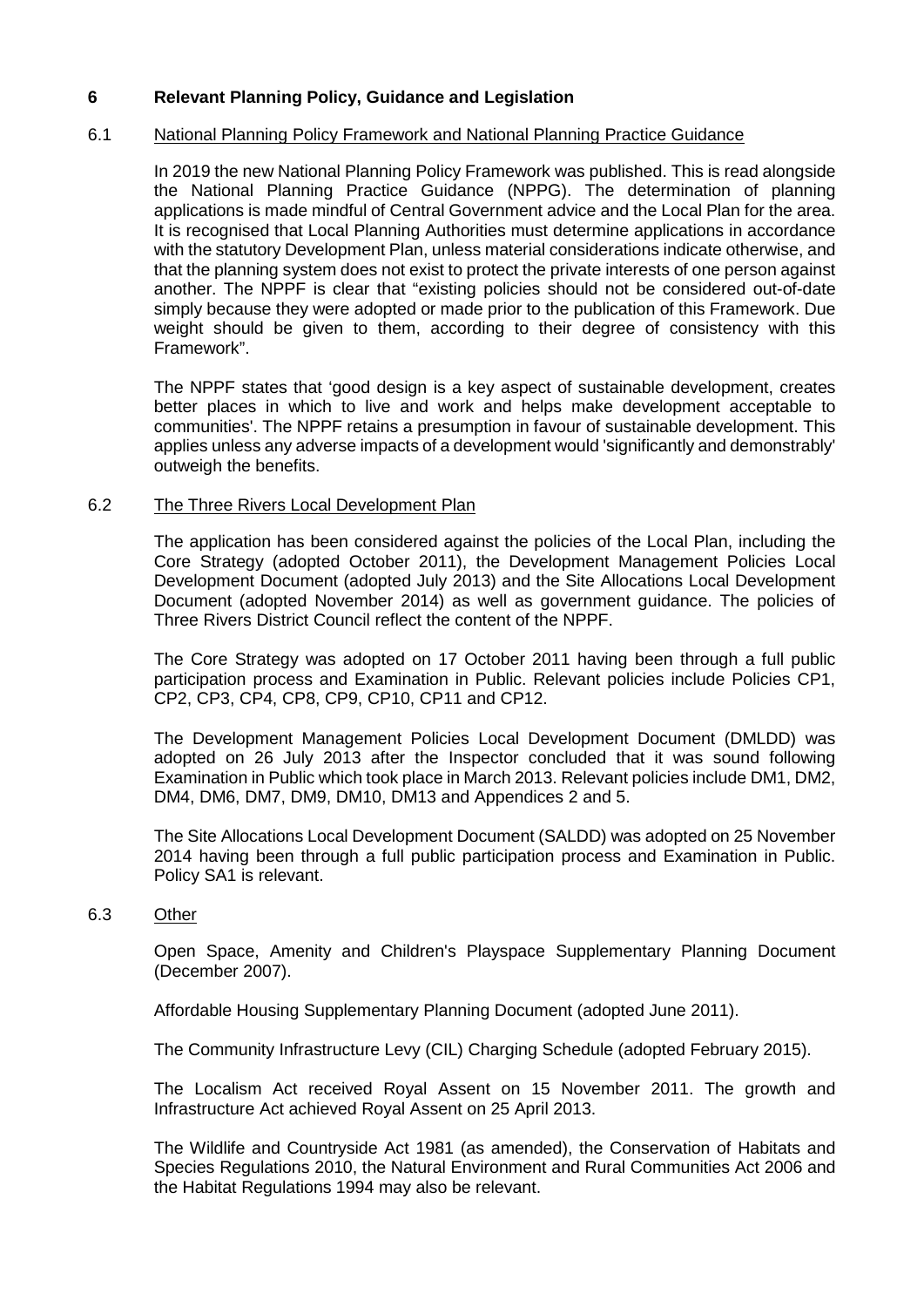# **6 Relevant Planning Policy, Guidance and Legislation**

### 6.1 National Planning Policy Framework and National Planning Practice Guidance

In 2019 the new National Planning Policy Framework was published. This is read alongside the National Planning Practice Guidance (NPPG). The determination of planning applications is made mindful of Central Government advice and the Local Plan for the area. It is recognised that Local Planning Authorities must determine applications in accordance with the statutory Development Plan, unless material considerations indicate otherwise, and that the planning system does not exist to protect the private interests of one person against another. The NPPF is clear that "existing policies should not be considered out-of-date simply because they were adopted or made prior to the publication of this Framework. Due weight should be given to them, according to their degree of consistency with this Framework".

The NPPF states that 'good design is a key aspect of sustainable development, creates better places in which to live and work and helps make development acceptable to communities'. The NPPF retains a presumption in favour of sustainable development. This applies unless any adverse impacts of a development would 'significantly and demonstrably' outweigh the benefits.

### 6.2 The Three Rivers Local Development Plan

The application has been considered against the policies of the Local Plan, including the Core Strategy (adopted October 2011), the Development Management Policies Local Development Document (adopted July 2013) and the Site Allocations Local Development Document (adopted November 2014) as well as government guidance. The policies of Three Rivers District Council reflect the content of the NPPF.

The Core Strategy was adopted on 17 October 2011 having been through a full public participation process and Examination in Public. Relevant policies include Policies CP1, CP2, CP3, CP4, CP8, CP9, CP10, CP11 and CP12.

The Development Management Policies Local Development Document (DMLDD) was adopted on 26 July 2013 after the Inspector concluded that it was sound following Examination in Public which took place in March 2013. Relevant policies include DM1, DM2, DM4, DM6, DM7, DM9, DM10, DM13 and Appendices 2 and 5.

The Site Allocations Local Development Document (SALDD) was adopted on 25 November 2014 having been through a full public participation process and Examination in Public. Policy SA1 is relevant.

#### 6.3 Other

Open Space, Amenity and Children's Playspace Supplementary Planning Document (December 2007).

Affordable Housing Supplementary Planning Document (adopted June 2011).

The Community Infrastructure Levy (CIL) Charging Schedule (adopted February 2015).

The Localism Act received Royal Assent on 15 November 2011. The growth and Infrastructure Act achieved Royal Assent on 25 April 2013.

The Wildlife and Countryside Act 1981 (as amended), the Conservation of Habitats and Species Regulations 2010, the Natural Environment and Rural Communities Act 2006 and the Habitat Regulations 1994 may also be relevant.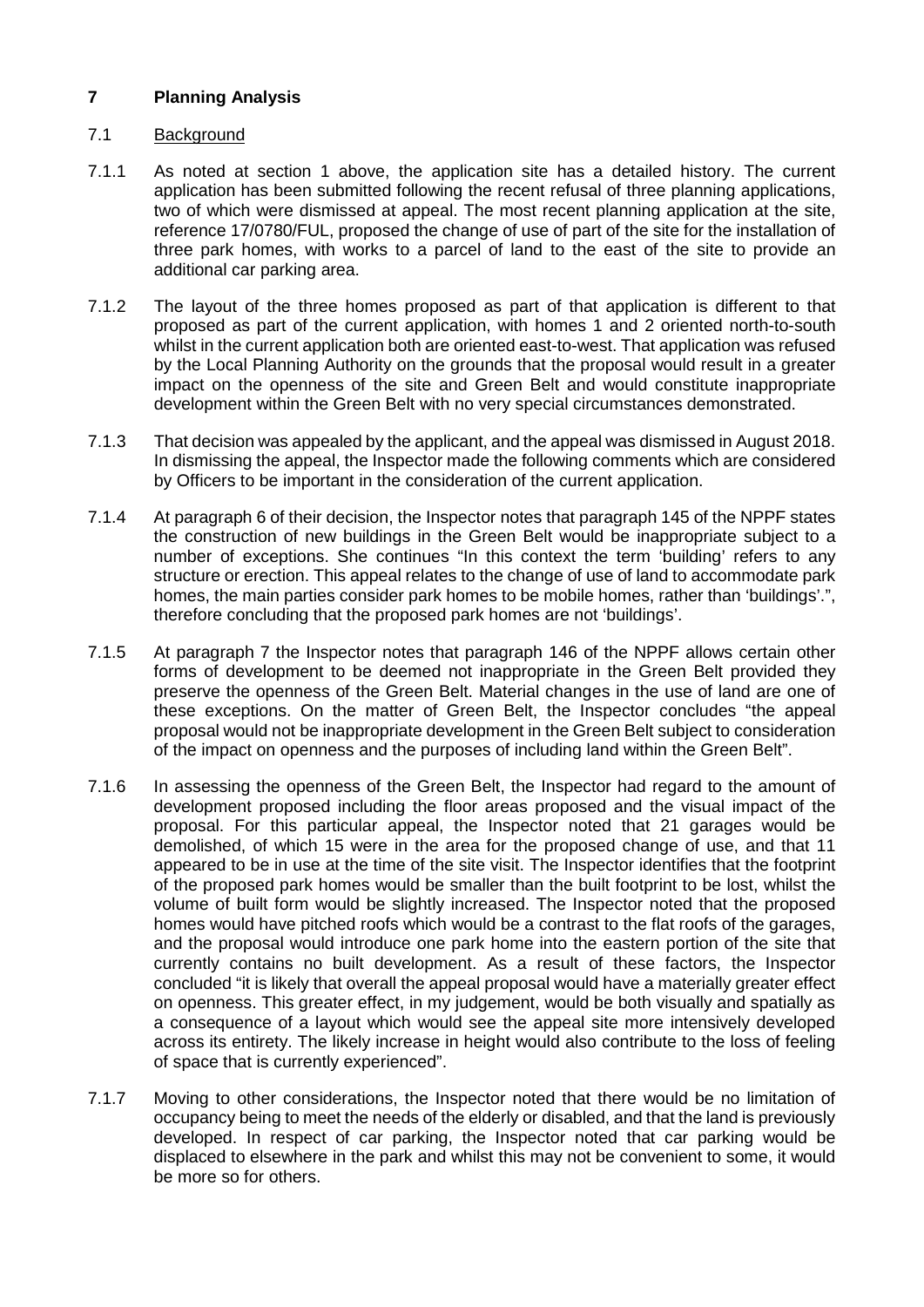# **7 Planning Analysis**

### 7.1 Background

- 7.1.1 As noted at section 1 above, the application site has a detailed history. The current application has been submitted following the recent refusal of three planning applications, two of which were dismissed at appeal. The most recent planning application at the site, reference 17/0780/FUL, proposed the change of use of part of the site for the installation of three park homes, with works to a parcel of land to the east of the site to provide an additional car parking area.
- 7.1.2 The layout of the three homes proposed as part of that application is different to that proposed as part of the current application, with homes 1 and 2 oriented north-to-south whilst in the current application both are oriented east-to-west. That application was refused by the Local Planning Authority on the grounds that the proposal would result in a greater impact on the openness of the site and Green Belt and would constitute inappropriate development within the Green Belt with no very special circumstances demonstrated.
- 7.1.3 That decision was appealed by the applicant, and the appeal was dismissed in August 2018. In dismissing the appeal, the Inspector made the following comments which are considered by Officers to be important in the consideration of the current application.
- 7.1.4 At paragraph 6 of their decision, the Inspector notes that paragraph 145 of the NPPF states the construction of new buildings in the Green Belt would be inappropriate subject to a number of exceptions. She continues "In this context the term 'building' refers to any structure or erection. This appeal relates to the change of use of land to accommodate park homes, the main parties consider park homes to be mobile homes, rather than 'buildings'.", therefore concluding that the proposed park homes are not 'buildings'.
- 7.1.5 At paragraph 7 the Inspector notes that paragraph 146 of the NPPF allows certain other forms of development to be deemed not inappropriate in the Green Belt provided they preserve the openness of the Green Belt. Material changes in the use of land are one of these exceptions. On the matter of Green Belt, the Inspector concludes "the appeal proposal would not be inappropriate development in the Green Belt subject to consideration of the impact on openness and the purposes of including land within the Green Belt".
- 7.1.6 In assessing the openness of the Green Belt, the Inspector had regard to the amount of development proposed including the floor areas proposed and the visual impact of the proposal. For this particular appeal, the Inspector noted that 21 garages would be demolished, of which 15 were in the area for the proposed change of use, and that 11 appeared to be in use at the time of the site visit. The Inspector identifies that the footprint of the proposed park homes would be smaller than the built footprint to be lost, whilst the volume of built form would be slightly increased. The Inspector noted that the proposed homes would have pitched roofs which would be a contrast to the flat roofs of the garages, and the proposal would introduce one park home into the eastern portion of the site that currently contains no built development. As a result of these factors, the Inspector concluded "it is likely that overall the appeal proposal would have a materially greater effect on openness. This greater effect, in my judgement, would be both visually and spatially as a consequence of a layout which would see the appeal site more intensively developed across its entirety. The likely increase in height would also contribute to the loss of feeling of space that is currently experienced".
- 7.1.7 Moving to other considerations, the Inspector noted that there would be no limitation of occupancy being to meet the needs of the elderly or disabled, and that the land is previously developed. In respect of car parking, the Inspector noted that car parking would be displaced to elsewhere in the park and whilst this may not be convenient to some, it would be more so for others.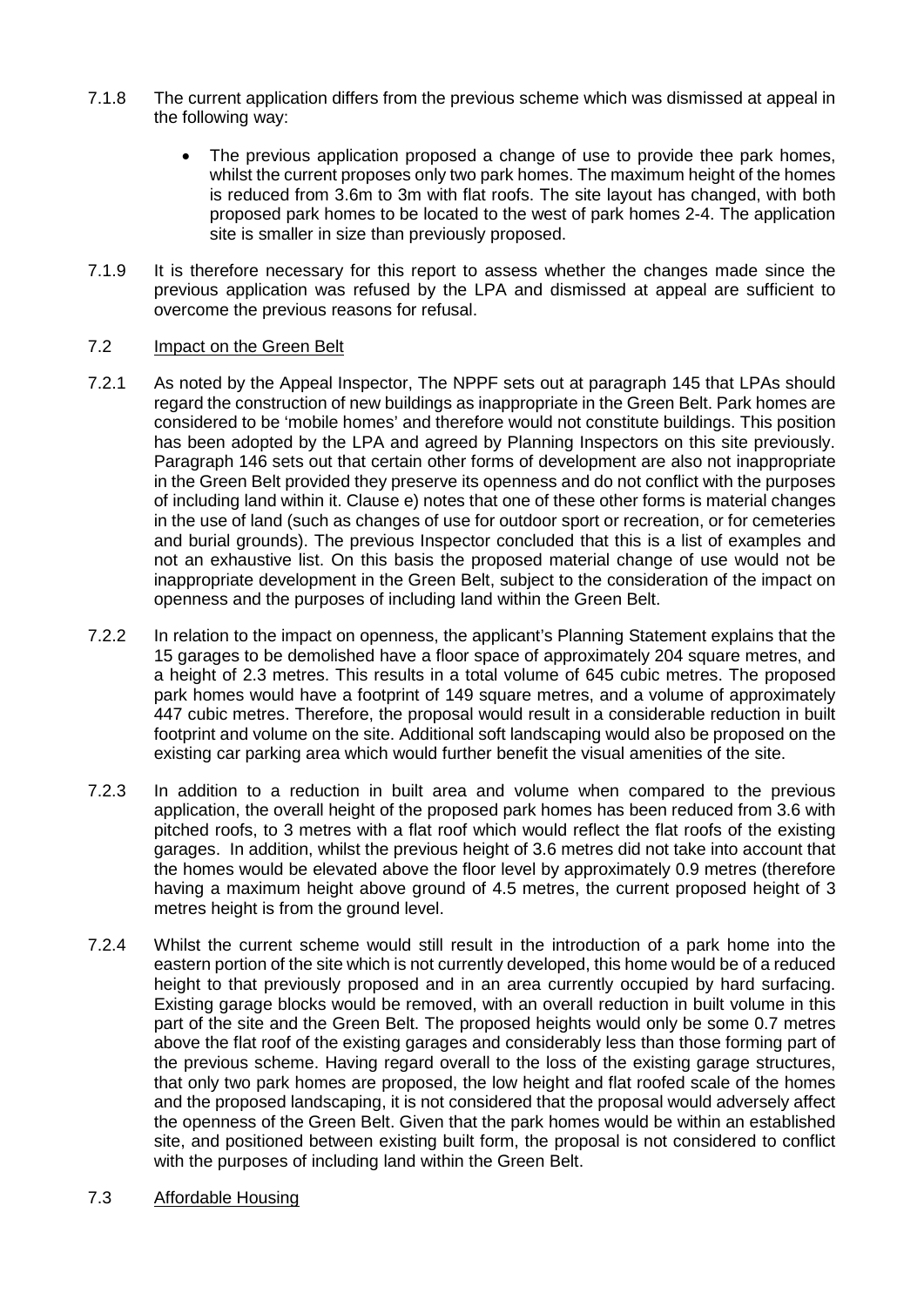- 7.1.8 The current application differs from the previous scheme which was dismissed at appeal in the following way:
	- The previous application proposed a change of use to provide thee park homes, whilst the current proposes only two park homes. The maximum height of the homes is reduced from 3.6m to 3m with flat roofs. The site layout has changed, with both proposed park homes to be located to the west of park homes 2-4. The application site is smaller in size than previously proposed.
- 7.1.9 It is therefore necessary for this report to assess whether the changes made since the previous application was refused by the LPA and dismissed at appeal are sufficient to overcome the previous reasons for refusal.

### 7.2 Impact on the Green Belt

- 7.2.1 As noted by the Appeal Inspector, The NPPF sets out at paragraph 145 that LPAs should regard the construction of new buildings as inappropriate in the Green Belt. Park homes are considered to be 'mobile homes' and therefore would not constitute buildings. This position has been adopted by the LPA and agreed by Planning Inspectors on this site previously. Paragraph 146 sets out that certain other forms of development are also not inappropriate in the Green Belt provided they preserve its openness and do not conflict with the purposes of including land within it. Clause e) notes that one of these other forms is material changes in the use of land (such as changes of use for outdoor sport or recreation, or for cemeteries and burial grounds). The previous Inspector concluded that this is a list of examples and not an exhaustive list. On this basis the proposed material change of use would not be inappropriate development in the Green Belt, subject to the consideration of the impact on openness and the purposes of including land within the Green Belt.
- 7.2.2 In relation to the impact on openness, the applicant's Planning Statement explains that the 15 garages to be demolished have a floor space of approximately 204 square metres, and a height of 2.3 metres. This results in a total volume of 645 cubic metres. The proposed park homes would have a footprint of 149 square metres, and a volume of approximately 447 cubic metres. Therefore, the proposal would result in a considerable reduction in built footprint and volume on the site. Additional soft landscaping would also be proposed on the existing car parking area which would further benefit the visual amenities of the site.
- 7.2.3 In addition to a reduction in built area and volume when compared to the previous application, the overall height of the proposed park homes has been reduced from 3.6 with pitched roofs, to 3 metres with a flat roof which would reflect the flat roofs of the existing garages. In addition, whilst the previous height of 3.6 metres did not take into account that the homes would be elevated above the floor level by approximately 0.9 metres (therefore having a maximum height above ground of 4.5 metres, the current proposed height of 3 metres height is from the ground level.
- 7.2.4 Whilst the current scheme would still result in the introduction of a park home into the eastern portion of the site which is not currently developed, this home would be of a reduced height to that previously proposed and in an area currently occupied by hard surfacing. Existing garage blocks would be removed, with an overall reduction in built volume in this part of the site and the Green Belt. The proposed heights would only be some 0.7 metres above the flat roof of the existing garages and considerably less than those forming part of the previous scheme. Having regard overall to the loss of the existing garage structures, that only two park homes are proposed, the low height and flat roofed scale of the homes and the proposed landscaping, it is not considered that the proposal would adversely affect the openness of the Green Belt. Given that the park homes would be within an established site, and positioned between existing built form, the proposal is not considered to conflict with the purposes of including land within the Green Belt.
- 7.3 Affordable Housing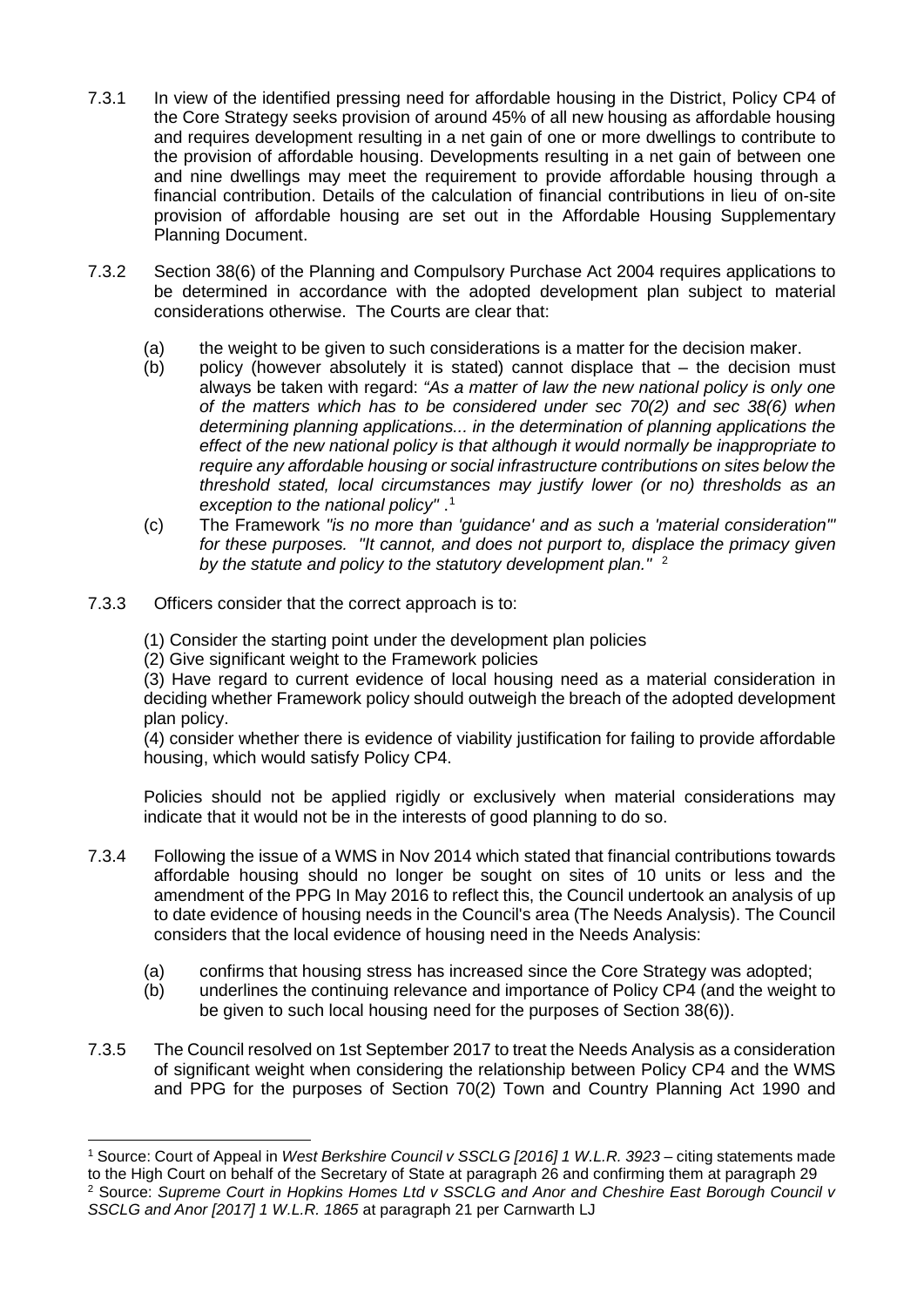- 7.3.1 In view of the identified pressing need for affordable housing in the District, Policy CP4 of the Core Strategy seeks provision of around 45% of all new housing as affordable housing and requires development resulting in a net gain of one or more dwellings to contribute to the provision of affordable housing. Developments resulting in a net gain of between one and nine dwellings may meet the requirement to provide affordable housing through a financial contribution. Details of the calculation of financial contributions in lieu of on-site provision of affordable housing are set out in the Affordable Housing Supplementary Planning Document.
- 7.3.2 Section 38(6) of the Planning and Compulsory Purchase Act 2004 requires applications to be determined in accordance with the adopted development plan subject to material considerations otherwise. The Courts are clear that:
	- (a) the weight to be given to such considerations is a matter for the decision maker.
	- (b) policy (however absolutely it is stated) cannot displace that the decision must always be taken with regard: *"As a matter of law the new national policy is only one of the matters which has to be considered under sec 70(2) and sec 38(6) when determining planning applications... in the determination of planning applications the effect of the new national policy is that although it would normally be inappropriate to require any affordable housing or social infrastructure contributions on sites below the threshold stated, local circumstances may justify lower (or no) thresholds as an exception to the national policy"* . [1](#page-9-0)
	- (c) The Framework *"is no more than 'guidance' and as such a 'material consideration'" for these purposes. "It cannot, and does not purport to, displace the primacy given by the statute and policy to the statutory development plan."* [2](#page-9-1)
- 7.3.3 Officers consider that the correct approach is to:
	- (1) Consider the starting point under the development plan policies
	- (2) Give significant weight to the Framework policies

(3) Have regard to current evidence of local housing need as a material consideration in deciding whether Framework policy should outweigh the breach of the adopted development plan policy.

(4) consider whether there is evidence of viability justification for failing to provide affordable housing, which would satisfy Policy CP4.

Policies should not be applied rigidly or exclusively when material considerations may indicate that it would not be in the interests of good planning to do so.

- 7.3.4 Following the issue of a WMS in Nov 2014 which stated that financial contributions towards affordable housing should no longer be sought on sites of 10 units or less and the amendment of the PPG In May 2016 to reflect this, the Council undertook an analysis of up to date evidence of housing needs in the Council's area (The Needs Analysis). The Council considers that the local evidence of housing need in the Needs Analysis:
	- (a) confirms that housing stress has increased since the Core Strategy was adopted;
	- (b) underlines the continuing relevance and importance of Policy CP4 (and the weight to be given to such local housing need for the purposes of Section 38(6)).
- 7.3.5 The Council resolved on 1st September 2017 to treat the Needs Analysis as a consideration of significant weight when considering the relationship between Policy CP4 and the WMS and PPG for the purposes of Section 70(2) Town and Country Planning Act 1990 and

<span id="page-9-0"></span> <sup>1</sup> Source: Court of Appeal in *West Berkshire Council v SSCLG [2016] 1 W.L.R. 3923 –* citing statements made to the High Court on behalf of the Secretary of State at paragraph 26 and confirming them at paragraph 29 <sup>2</sup> Source: *Supreme Court in Hopkins Homes Ltd v SSCLG and Anor and Cheshire East Borough Council v* 

<span id="page-9-1"></span>*SSCLG and Anor [2017] 1 W.L.R. 1865* at paragraph 21 per Carnwarth LJ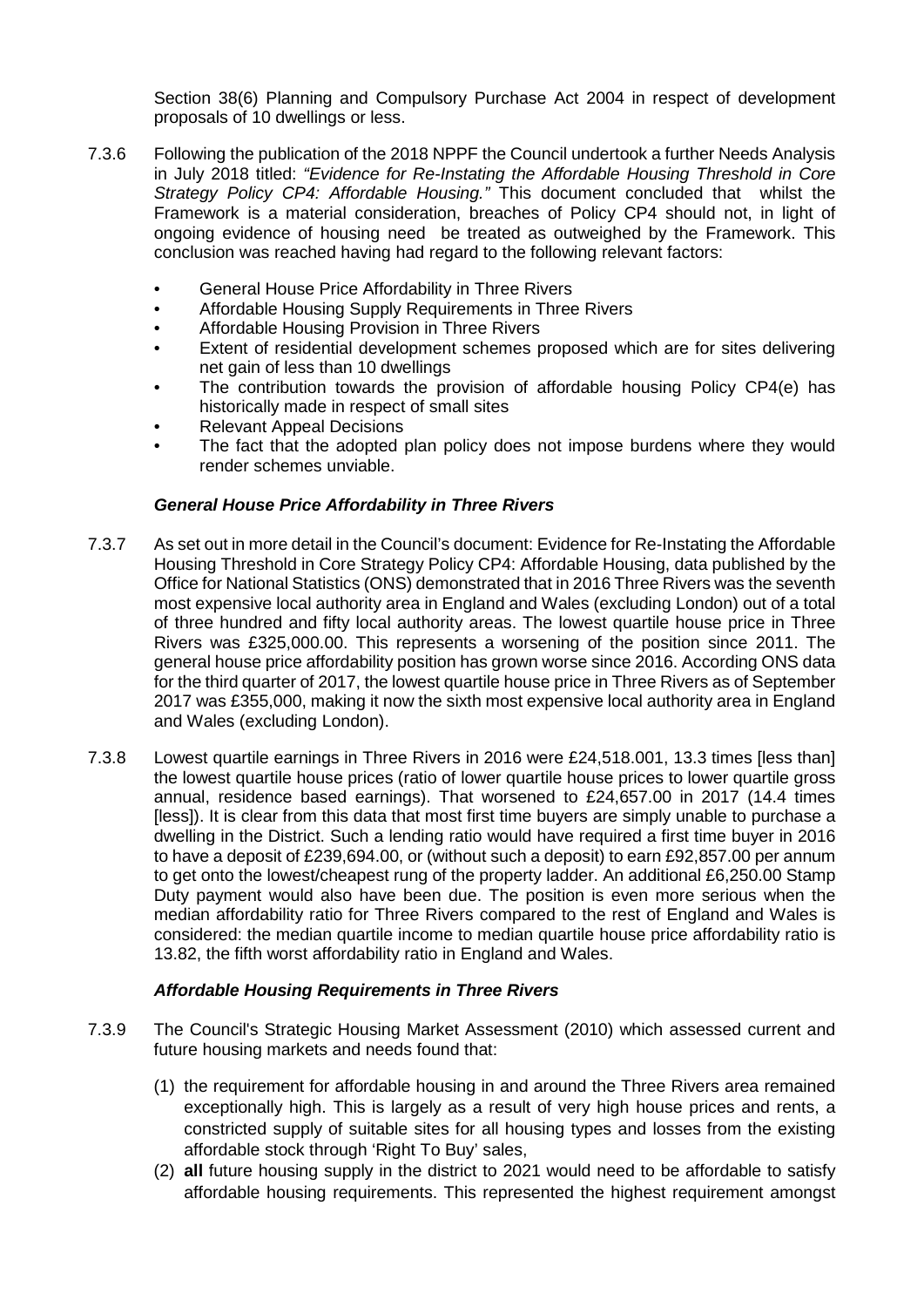Section 38(6) Planning and Compulsory Purchase Act 2004 in respect of development proposals of 10 dwellings or less.

- 7.3.6 Following the publication of the 2018 NPPF the Council undertook a further Needs Analysis in July 2018 titled: *"Evidence for Re-Instating the Affordable Housing Threshold in Core Strategy Policy CP4: Affordable Housing."* This document concluded that whilst the Framework is a material consideration, breaches of Policy CP4 should not, in light of ongoing evidence of housing need be treated as outweighed by the Framework. This conclusion was reached having had regard to the following relevant factors:
	- General House Price Affordability in Three Rivers
	- Affordable Housing Supply Requirements in Three Rivers
	- Affordable Housing Provision in Three Rivers
	- Extent of residential development schemes proposed which are for sites delivering net gain of less than 10 dwellings
	- The contribution towards the provision of affordable housing Policy CP4(e) has historically made in respect of small sites
	- Relevant Appeal Decisions
	- The fact that the adopted plan policy does not impose burdens where they would render schemes unviable.

## *General House Price Affordability in Three Rivers*

- 7.3.7 As set out in more detail in the Council's document: Evidence for Re-Instating the Affordable Housing Threshold in Core Strategy Policy CP4: Affordable Housing, data published by the Office for National Statistics (ONS) demonstrated that in 2016 Three Rivers was the seventh most expensive local authority area in England and Wales (excluding London) out of a total of three hundred and fifty local authority areas. The lowest quartile house price in Three Rivers was £325,000.00. This represents a worsening of the position since 2011. The general house price affordability position has grown worse since 2016. According ONS data for the third quarter of 2017, the lowest quartile house price in Three Rivers as of September 2017 was £355,000, making it now the sixth most expensive local authority area in England and Wales (excluding London).
- 7.3.8 Lowest quartile earnings in Three Rivers in 2016 were £24,518.001, 13.3 times [less than] the lowest quartile house prices (ratio of lower quartile house prices to lower quartile gross annual, residence based earnings). That worsened to £24,657.00 in 2017 (14.4 times [less]). It is clear from this data that most first time buyers are simply unable to purchase a dwelling in the District. Such a lending ratio would have required a first time buyer in 2016 to have a deposit of £239,694.00, or (without such a deposit) to earn £92,857.00 per annum to get onto the lowest/cheapest rung of the property ladder. An additional £6,250.00 Stamp Duty payment would also have been due. The position is even more serious when the median affordability ratio for Three Rivers compared to the rest of England and Wales is considered: the median quartile income to median quartile house price affordability ratio is 13.82, the fifth worst affordability ratio in England and Wales.

## *Affordable Housing Requirements in Three Rivers*

- 7.3.9 The Council's Strategic Housing Market Assessment (2010) which assessed current and future housing markets and needs found that:
	- (1) the requirement for affordable housing in and around the Three Rivers area remained exceptionally high. This is largely as a result of very high house prices and rents, a constricted supply of suitable sites for all housing types and losses from the existing affordable stock through 'Right To Buy' sales,
	- (2) **all** future housing supply in the district to 2021 would need to be affordable to satisfy affordable housing requirements. This represented the highest requirement amongst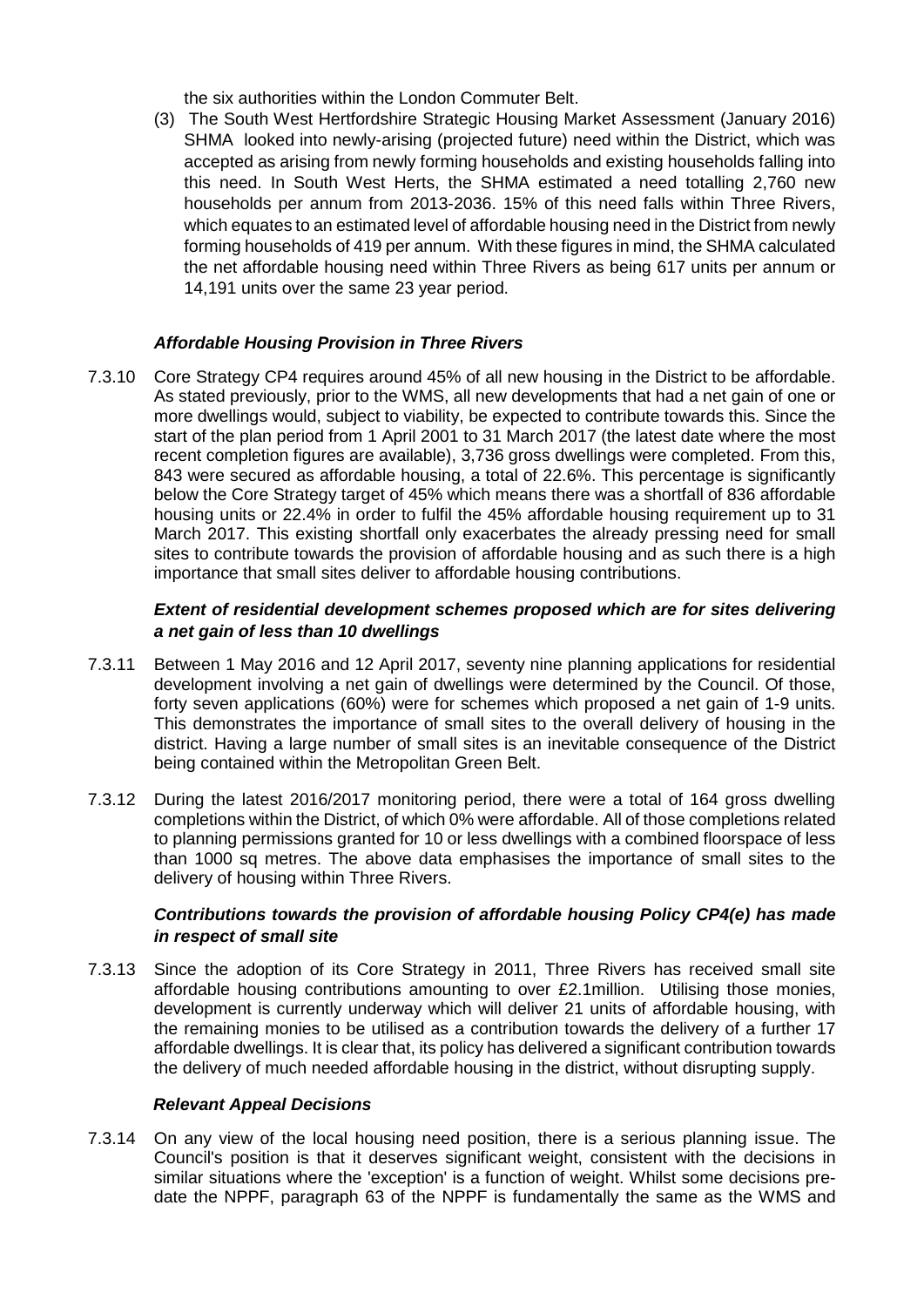the six authorities within the London Commuter Belt.

(3) The South West Hertfordshire Strategic Housing Market Assessment (January 2016) SHMA looked into newly-arising (projected future) need within the District, which was accepted as arising from newly forming households and existing households falling into this need. In South West Herts, the SHMA estimated a need totalling 2,760 new households per annum from 2013-2036. 15% of this need falls within Three Rivers, which equates to an estimated level of affordable housing need in the District from newly forming households of 419 per annum. With these figures in mind, the SHMA calculated the net affordable housing need within Three Rivers as being 617 units per annum or 14,191 units over the same 23 year period.

## *Affordable Housing Provision in Three Rivers*

7.3.10 Core Strategy CP4 requires around 45% of all new housing in the District to be affordable. As stated previously, prior to the WMS, all new developments that had a net gain of one or more dwellings would, subject to viability, be expected to contribute towards this. Since the start of the plan period from 1 April 2001 to 31 March 2017 (the latest date where the most recent completion figures are available), 3,736 gross dwellings were completed. From this, 843 were secured as affordable housing, a total of 22.6%. This percentage is significantly below the Core Strategy target of 45% which means there was a shortfall of 836 affordable housing units or 22.4% in order to fulfil the 45% affordable housing requirement up to 31 March 2017. This existing shortfall only exacerbates the already pressing need for small sites to contribute towards the provision of affordable housing and as such there is a high importance that small sites deliver to affordable housing contributions.

# *Extent of residential development schemes proposed which are for sites delivering a net gain of less than 10 dwellings*

- 7.3.11 Between 1 May 2016 and 12 April 2017, seventy nine planning applications for residential development involving a net gain of dwellings were determined by the Council. Of those, forty seven applications (60%) were for schemes which proposed a net gain of 1-9 units. This demonstrates the importance of small sites to the overall delivery of housing in the district. Having a large number of small sites is an inevitable consequence of the District being contained within the Metropolitan Green Belt.
- 7.3.12 During the latest 2016/2017 monitoring period, there were a total of 164 gross dwelling completions within the District, of which 0% were affordable. All of those completions related to planning permissions granted for 10 or less dwellings with a combined floorspace of less than 1000 sq metres. The above data emphasises the importance of small sites to the delivery of housing within Three Rivers.

## *Contributions towards the provision of affordable housing Policy CP4(e) has made in respect of small site*

7.3.13 Since the adoption of its Core Strategy in 2011, Three Rivers has received small site affordable housing contributions amounting to over £2.1million. Utilising those monies, development is currently underway which will deliver 21 units of affordable housing, with the remaining monies to be utilised as a contribution towards the delivery of a further 17 affordable dwellings. It is clear that, its policy has delivered a significant contribution towards the delivery of much needed affordable housing in the district, without disrupting supply.

#### *Relevant Appeal Decisions*

7.3.14 On any view of the local housing need position, there is a serious planning issue. The Council's position is that it deserves significant weight, consistent with the decisions in similar situations where the 'exception' is a function of weight. Whilst some decisions predate the NPPF, paragraph 63 of the NPPF is fundamentally the same as the WMS and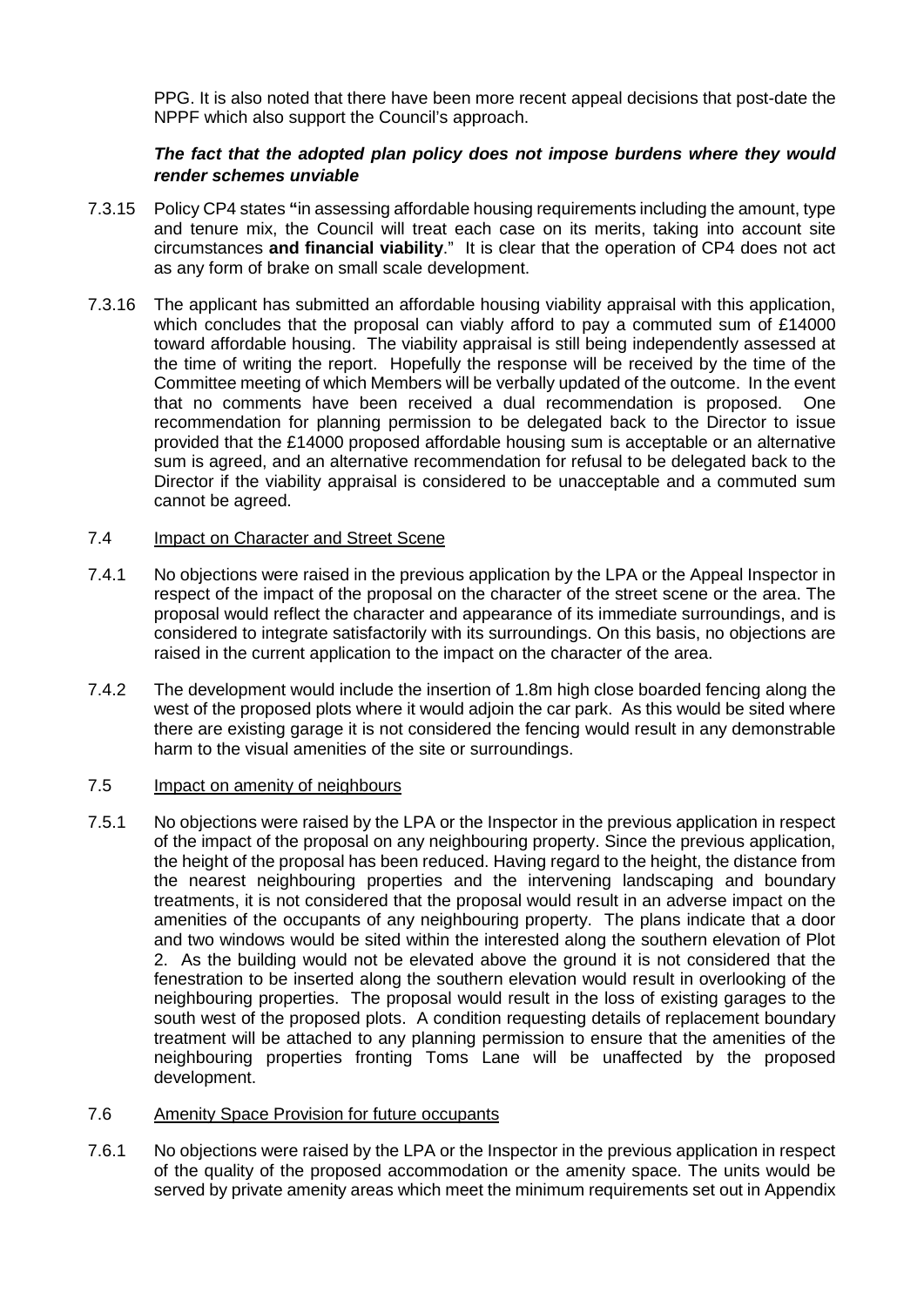PPG. It is also noted that there have been more recent appeal decisions that post-date the NPPF which also support the Council's approach.

## *The fact that the adopted plan policy does not impose burdens where they would render schemes unviable*

- 7.3.15 Policy CP4 states **"**in assessing affordable housing requirements including the amount, type and tenure mix, the Council will treat each case on its merits, taking into account site circumstances **and financial viability**." It is clear that the operation of CP4 does not act as any form of brake on small scale development.
- 7.3.16 The applicant has submitted an affordable housing viability appraisal with this application, which concludes that the proposal can viably afford to pay a commuted sum of £14000 toward affordable housing. The viability appraisal is still being independently assessed at the time of writing the report. Hopefully the response will be received by the time of the Committee meeting of which Members will be verbally updated of the outcome. In the event that no comments have been received a dual recommendation is proposed. One recommendation for planning permission to be delegated back to the Director to issue provided that the £14000 proposed affordable housing sum is acceptable or an alternative sum is agreed, and an alternative recommendation for refusal to be delegated back to the Director if the viability appraisal is considered to be unacceptable and a commuted sum cannot be agreed.

## 7.4 Impact on Character and Street Scene

- 7.4.1 No objections were raised in the previous application by the LPA or the Appeal Inspector in respect of the impact of the proposal on the character of the street scene or the area. The proposal would reflect the character and appearance of its immediate surroundings, and is considered to integrate satisfactorily with its surroundings. On this basis, no objections are raised in the current application to the impact on the character of the area.
- 7.4.2 The development would include the insertion of 1.8m high close boarded fencing along the west of the proposed plots where it would adjoin the car park. As this would be sited where there are existing garage it is not considered the fencing would result in any demonstrable harm to the visual amenities of the site or surroundings.

#### 7.5 Impact on amenity of neighbours

7.5.1 No objections were raised by the LPA or the Inspector in the previous application in respect of the impact of the proposal on any neighbouring property. Since the previous application, the height of the proposal has been reduced. Having regard to the height, the distance from the nearest neighbouring properties and the intervening landscaping and boundary treatments, it is not considered that the proposal would result in an adverse impact on the amenities of the occupants of any neighbouring property. The plans indicate that a door and two windows would be sited within the interested along the southern elevation of Plot 2. As the building would not be elevated above the ground it is not considered that the fenestration to be inserted along the southern elevation would result in overlooking of the neighbouring properties. The proposal would result in the loss of existing garages to the south west of the proposed plots. A condition requesting details of replacement boundary treatment will be attached to any planning permission to ensure that the amenities of the neighbouring properties fronting Toms Lane will be unaffected by the proposed development.

# 7.6 Amenity Space Provision for future occupants

7.6.1 No objections were raised by the LPA or the Inspector in the previous application in respect of the quality of the proposed accommodation or the amenity space. The units would be served by private amenity areas which meet the minimum requirements set out in Appendix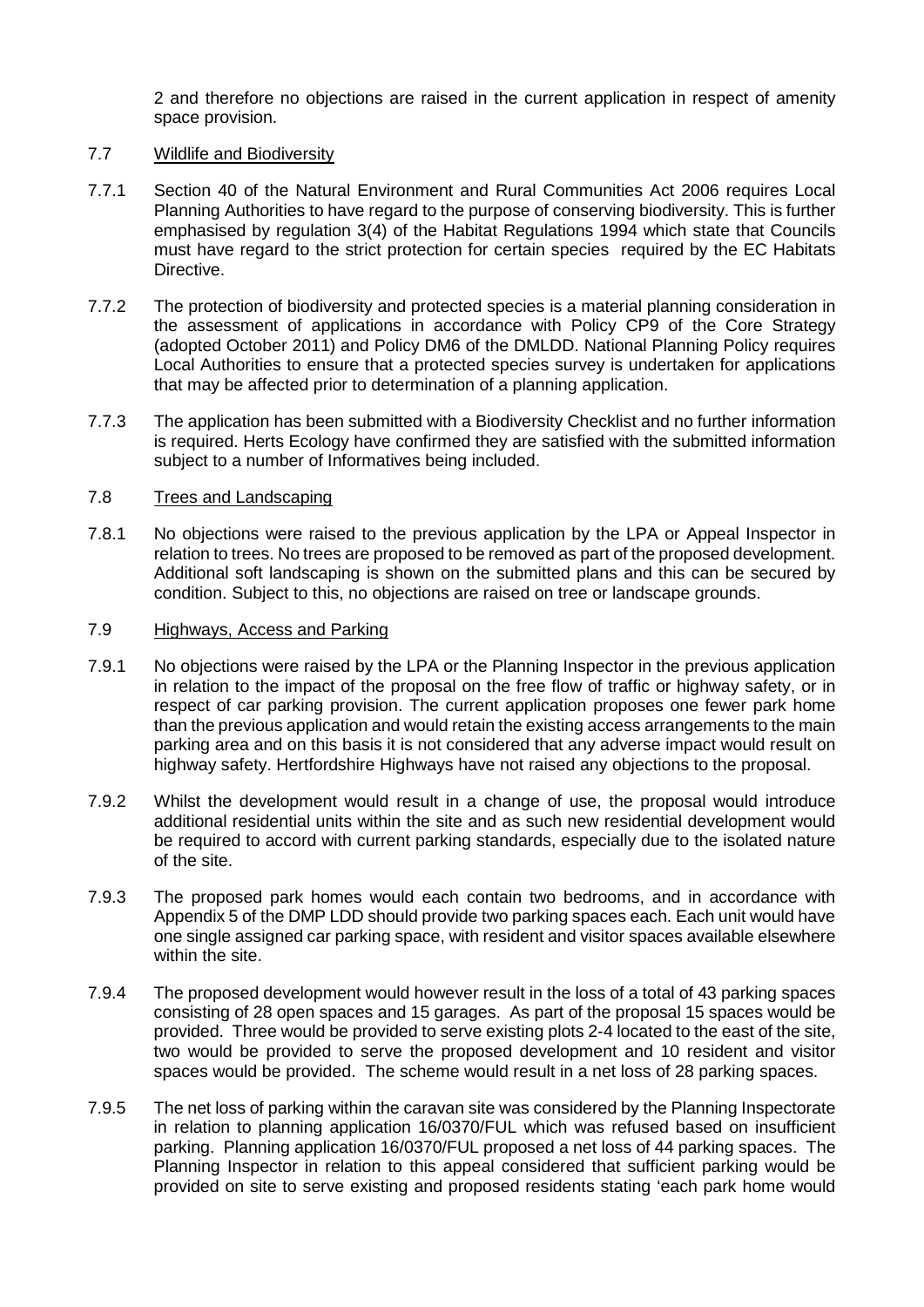2 and therefore no objections are raised in the current application in respect of amenity space provision.

### 7.7 Wildlife and Biodiversity

- 7.7.1 Section 40 of the Natural Environment and Rural Communities Act 2006 requires Local Planning Authorities to have regard to the purpose of conserving biodiversity. This is further emphasised by regulation 3(4) of the Habitat Regulations 1994 which state that Councils must have regard to the strict protection for certain species required by the EC Habitats Directive.
- 7.7.2 The protection of biodiversity and protected species is a material planning consideration in the assessment of applications in accordance with Policy CP9 of the Core Strategy (adopted October 2011) and Policy DM6 of the DMLDD. National Planning Policy requires Local Authorities to ensure that a protected species survey is undertaken for applications that may be affected prior to determination of a planning application.
- 7.7.3 The application has been submitted with a Biodiversity Checklist and no further information is required. Herts Ecology have confirmed they are satisfied with the submitted information subject to a number of Informatives being included.

### 7.8 Trees and Landscaping

7.8.1 No objections were raised to the previous application by the LPA or Appeal Inspector in relation to trees. No trees are proposed to be removed as part of the proposed development. Additional soft landscaping is shown on the submitted plans and this can be secured by condition. Subject to this, no objections are raised on tree or landscape grounds.

### 7.9 Highways, Access and Parking

- 7.9.1 No objections were raised by the LPA or the Planning Inspector in the previous application in relation to the impact of the proposal on the free flow of traffic or highway safety, or in respect of car parking provision. The current application proposes one fewer park home than the previous application and would retain the existing access arrangements to the main parking area and on this basis it is not considered that any adverse impact would result on highway safety. Hertfordshire Highways have not raised any objections to the proposal.
- 7.9.2 Whilst the development would result in a change of use, the proposal would introduce additional residential units within the site and as such new residential development would be required to accord with current parking standards, especially due to the isolated nature of the site.
- 7.9.3 The proposed park homes would each contain two bedrooms, and in accordance with Appendix 5 of the DMP LDD should provide two parking spaces each. Each unit would have one single assigned car parking space, with resident and visitor spaces available elsewhere within the site.
- 7.9.4 The proposed development would however result in the loss of a total of 43 parking spaces consisting of 28 open spaces and 15 garages. As part of the proposal 15 spaces would be provided. Three would be provided to serve existing plots 2-4 located to the east of the site, two would be provided to serve the proposed development and 10 resident and visitor spaces would be provided. The scheme would result in a net loss of 28 parking spaces.
- 7.9.5 The net loss of parking within the caravan site was considered by the Planning Inspectorate in relation to planning application 16/0370/FUL which was refused based on insufficient parking. Planning application 16/0370/FUL proposed a net loss of 44 parking spaces. The Planning Inspector in relation to this appeal considered that sufficient parking would be provided on site to serve existing and proposed residents stating 'each park home would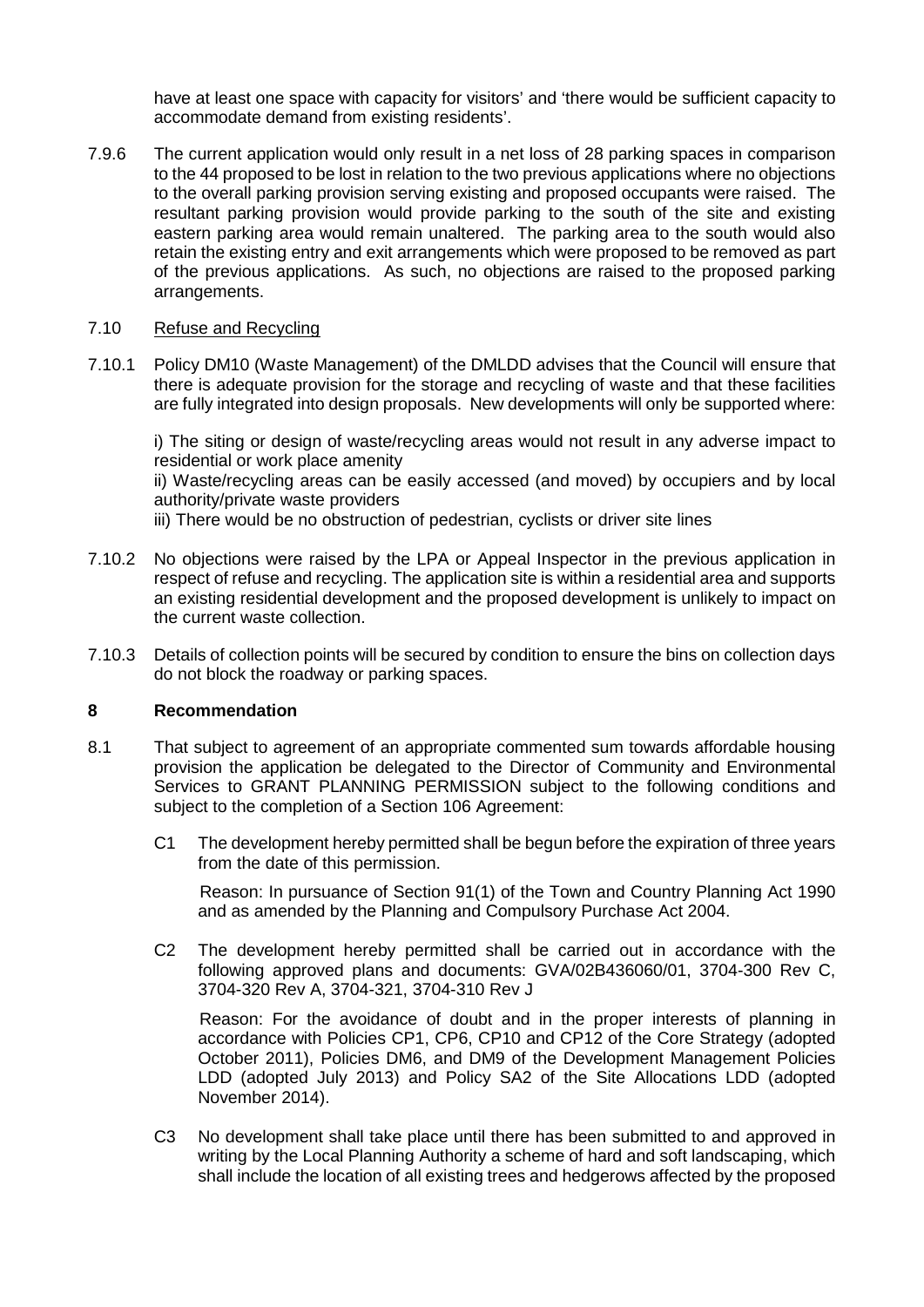have at least one space with capacity for visitors' and 'there would be sufficient capacity to accommodate demand from existing residents'.

7.9.6 The current application would only result in a net loss of 28 parking spaces in comparison to the 44 proposed to be lost in relation to the two previous applications where no objections to the overall parking provision serving existing and proposed occupants were raised. The resultant parking provision would provide parking to the south of the site and existing eastern parking area would remain unaltered. The parking area to the south would also retain the existing entry and exit arrangements which were proposed to be removed as part of the previous applications. As such, no objections are raised to the proposed parking arrangements.

### 7.10 Refuse and Recycling

7.10.1 Policy DM10 (Waste Management) of the DMLDD advises that the Council will ensure that there is adequate provision for the storage and recycling of waste and that these facilities are fully integrated into design proposals. New developments will only be supported where:

i) The siting or design of waste/recycling areas would not result in any adverse impact to residential or work place amenity

ii) Waste/recycling areas can be easily accessed (and moved) by occupiers and by local authority/private waste providers

iii) There would be no obstruction of pedestrian, cyclists or driver site lines

- 7.10.2 No objections were raised by the LPA or Appeal Inspector in the previous application in respect of refuse and recycling. The application site is within a residential area and supports an existing residential development and the proposed development is unlikely to impact on the current waste collection.
- 7.10.3 Details of collection points will be secured by condition to ensure the bins on collection days do not block the roadway or parking spaces.

#### **8 Recommendation**

- 8.1 That subject to agreement of an appropriate commented sum towards affordable housing provision the application be delegated to the Director of Community and Environmental Services to GRANT PLANNING PERMISSION subject to the following conditions and subject to the completion of a Section 106 Agreement:
	- C1 The development hereby permitted shall be begun before the expiration of three years from the date of this permission.

Reason: In pursuance of Section 91(1) of the Town and Country Planning Act 1990 and as amended by the Planning and Compulsory Purchase Act 2004.

C2 The development hereby permitted shall be carried out in accordance with the following approved plans and documents: GVA/02B436060/01, 3704-300 Rev C, 3704-320 Rev A, 3704-321, 3704-310 Rev J

Reason: For the avoidance of doubt and in the proper interests of planning in accordance with Policies CP1, CP6, CP10 and CP12 of the Core Strategy (adopted October 2011), Policies DM6, and DM9 of the Development Management Policies LDD (adopted July 2013) and Policy SA2 of the Site Allocations LDD (adopted November 2014).

C3 No development shall take place until there has been submitted to and approved in writing by the Local Planning Authority a scheme of hard and soft landscaping, which shall include the location of all existing trees and hedgerows affected by the proposed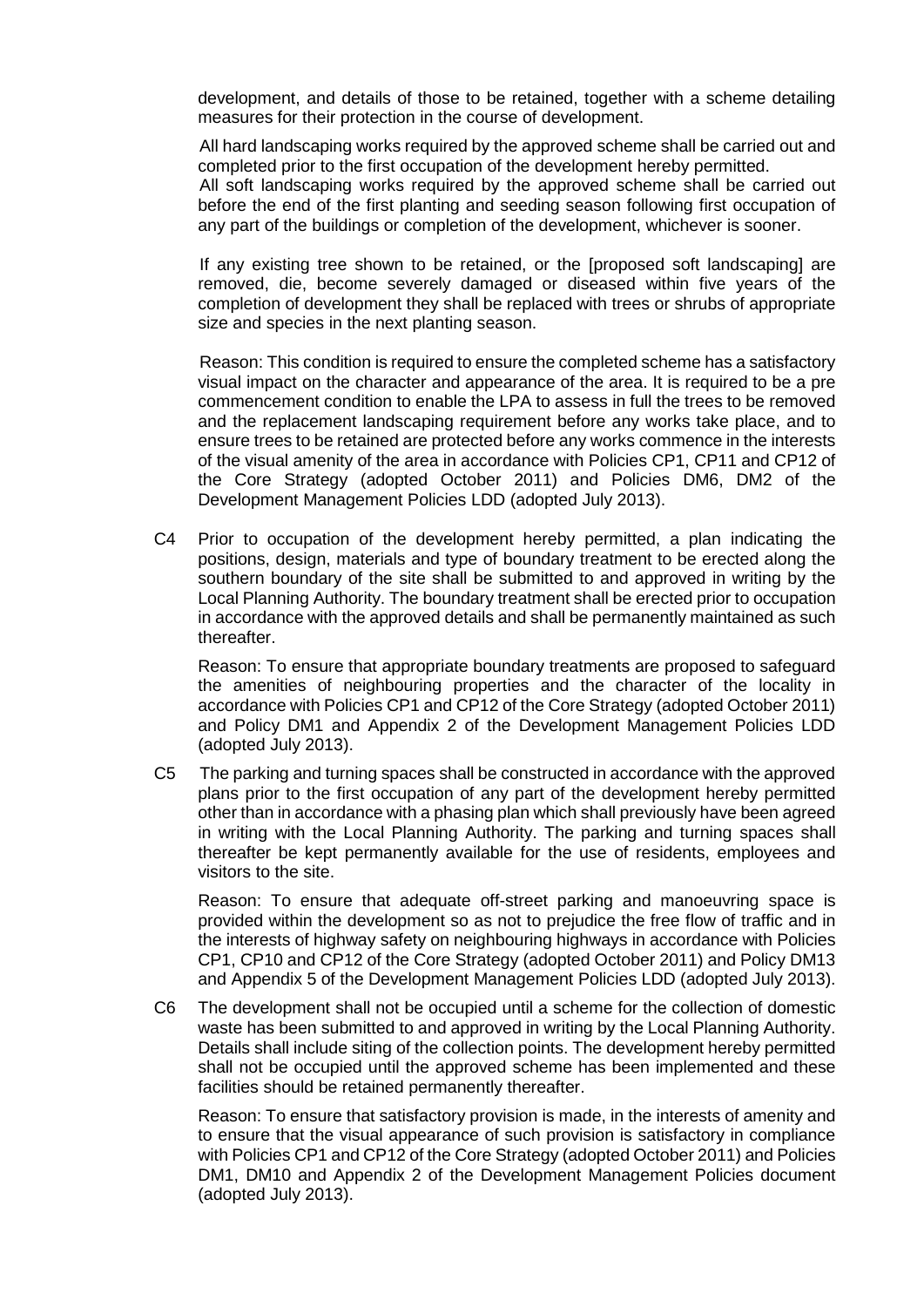development, and details of those to be retained, together with a scheme detailing measures for their protection in the course of development.

All hard landscaping works required by the approved scheme shall be carried out and completed prior to the first occupation of the development hereby permitted.

All soft landscaping works required by the approved scheme shall be carried out before the end of the first planting and seeding season following first occupation of any part of the buildings or completion of the development, whichever is sooner.

If any existing tree shown to be retained, or the [proposed soft landscaping] are removed, die, become severely damaged or diseased within five years of the completion of development they shall be replaced with trees or shrubs of appropriate size and species in the next planting season.

Reason: This condition is required to ensure the completed scheme has a satisfactory visual impact on the character and appearance of the area. It is required to be a pre commencement condition to enable the LPA to assess in full the trees to be removed and the replacement landscaping requirement before any works take place, and to ensure trees to be retained are protected before any works commence in the interests of the visual amenity of the area in accordance with Policies CP1, CP11 and CP12 of the Core Strategy (adopted October 2011) and Policies DM6, DM2 of the Development Management Policies LDD (adopted July 2013).

C4 Prior to occupation of the development hereby permitted, a plan indicating the positions, design, materials and type of boundary treatment to be erected along the southern boundary of the site shall be submitted to and approved in writing by the Local Planning Authority. The boundary treatment shall be erected prior to occupation in accordance with the approved details and shall be permanently maintained as such thereafter.

Reason: To ensure that appropriate boundary treatments are proposed to safeguard the amenities of neighbouring properties and the character of the locality in accordance with Policies CP1 and CP12 of the Core Strategy (adopted October 2011) and Policy DM1 and Appendix 2 of the Development Management Policies LDD (adopted July 2013).

C5 The parking and turning spaces shall be constructed in accordance with the approved plans prior to the first occupation of any part of the development hereby permitted other than in accordance with a phasing plan which shall previously have been agreed in writing with the Local Planning Authority. The parking and turning spaces shall thereafter be kept permanently available for the use of residents, employees and visitors to the site.

Reason: To ensure that adequate off-street parking and manoeuvring space is provided within the development so as not to prejudice the free flow of traffic and in the interests of highway safety on neighbouring highways in accordance with Policies CP1, CP10 and CP12 of the Core Strategy (adopted October 2011) and Policy DM13 and Appendix 5 of the Development Management Policies LDD (adopted July 2013).

C6 The development shall not be occupied until a scheme for the collection of domestic waste has been submitted to and approved in writing by the Local Planning Authority. Details shall include siting of the collection points. The development hereby permitted shall not be occupied until the approved scheme has been implemented and these facilities should be retained permanently thereafter.

Reason: To ensure that satisfactory provision is made, in the interests of amenity and to ensure that the visual appearance of such provision is satisfactory in compliance with Policies CP1 and CP12 of the Core Strategy (adopted October 2011) and Policies DM1, DM10 and Appendix 2 of the Development Management Policies document (adopted July 2013).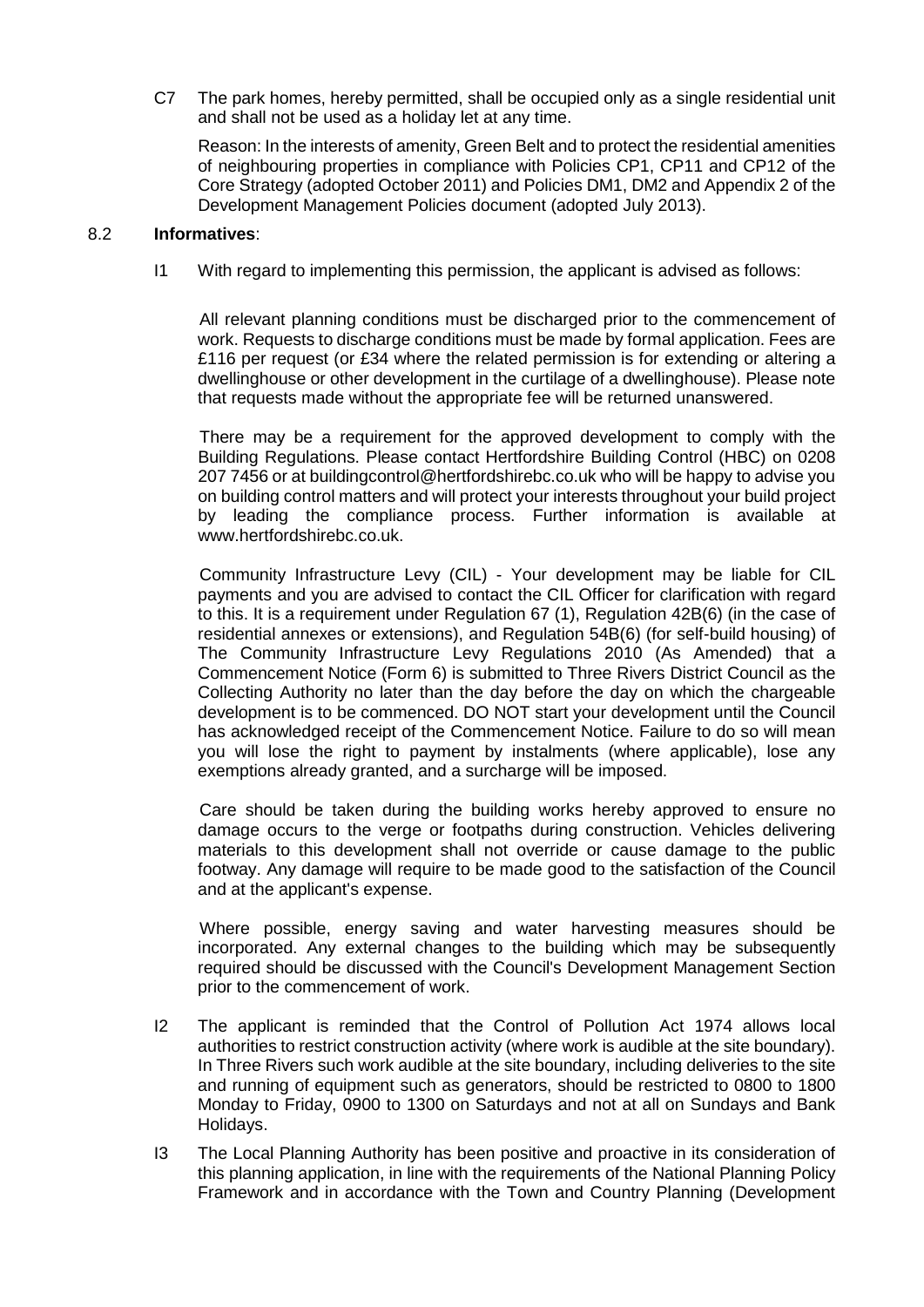C7 The park homes, hereby permitted, shall be occupied only as a single residential unit and shall not be used as a holiday let at any time.

Reason: In the interests of amenity, Green Belt and to protect the residential amenities of neighbouring properties in compliance with Policies CP1, CP11 and CP12 of the Core Strategy (adopted October 2011) and Policies DM1, DM2 and Appendix 2 of the Development Management Policies document (adopted July 2013).

## 8.2 **Informatives**:

I1 With regard to implementing this permission, the applicant is advised as follows:

All relevant planning conditions must be discharged prior to the commencement of work. Requests to discharge conditions must be made by formal application. Fees are £116 per request (or £34 where the related permission is for extending or altering a dwellinghouse or other development in the curtilage of a dwellinghouse). Please note that requests made without the appropriate fee will be returned unanswered.

There may be a requirement for the approved development to comply with the Building Regulations. Please contact Hertfordshire Building Control (HBC) on 0208 207 7456 or at buildingcontrol@hertfordshirebc.co.uk who will be happy to advise you on building control matters and will protect your interests throughout your build project by leading the compliance process. Further information is available at www.hertfordshirebc.co.uk.

Community Infrastructure Levy (CIL) - Your development may be liable for CIL payments and you are advised to contact the CIL Officer for clarification with regard to this. It is a requirement under Regulation 67 (1), Regulation 42B(6) (in the case of residential annexes or extensions), and Regulation 54B(6) (for self-build housing) of The Community Infrastructure Levy Regulations 2010 (As Amended) that a Commencement Notice (Form 6) is submitted to Three Rivers District Council as the Collecting Authority no later than the day before the day on which the chargeable development is to be commenced. DO NOT start your development until the Council has acknowledged receipt of the Commencement Notice. Failure to do so will mean you will lose the right to payment by instalments (where applicable), lose any exemptions already granted, and a surcharge will be imposed.

Care should be taken during the building works hereby approved to ensure no damage occurs to the verge or footpaths during construction. Vehicles delivering materials to this development shall not override or cause damage to the public footway. Any damage will require to be made good to the satisfaction of the Council and at the applicant's expense.

Where possible, energy saving and water harvesting measures should be incorporated. Any external changes to the building which may be subsequently required should be discussed with the Council's Development Management Section prior to the commencement of work.

- I2 The applicant is reminded that the Control of Pollution Act 1974 allows local authorities to restrict construction activity (where work is audible at the site boundary). In Three Rivers such work audible at the site boundary, including deliveries to the site and running of equipment such as generators, should be restricted to 0800 to 1800 Monday to Friday, 0900 to 1300 on Saturdays and not at all on Sundays and Bank Holidays.
- I3 The Local Planning Authority has been positive and proactive in its consideration of this planning application, in line with the requirements of the National Planning Policy Framework and in accordance with the Town and Country Planning (Development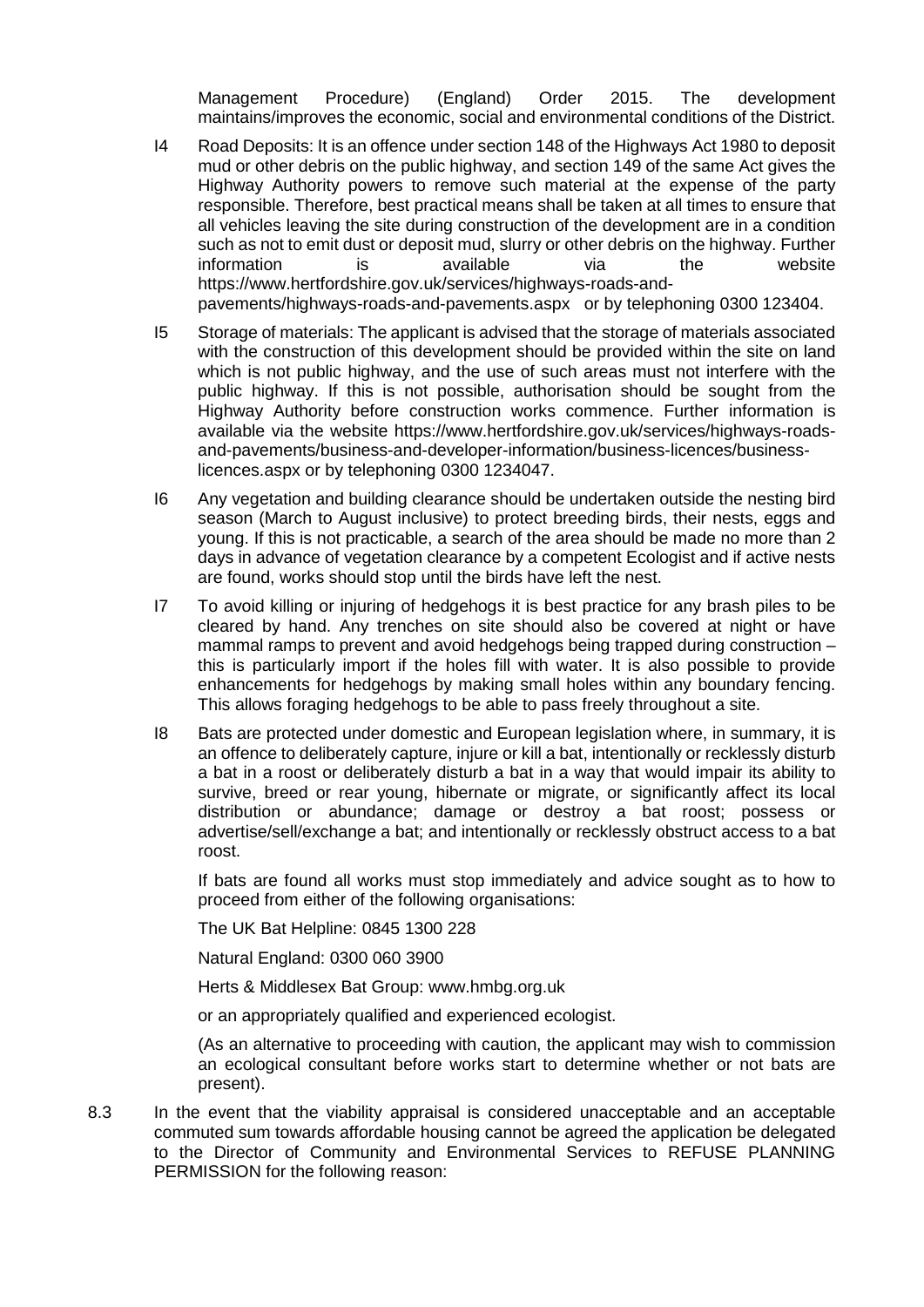Management Procedure) (England) Order 2015. The development maintains/improves the economic, social and environmental conditions of the District.

- I4 Road Deposits: It is an offence under section 148 of the Highways Act 1980 to deposit mud or other debris on the public highway, and section 149 of the same Act gives the Highway Authority powers to remove such material at the expense of the party responsible. Therefore, best practical means shall be taken at all times to ensure that all vehicles leaving the site during construction of the development are in a condition such as not to emit dust or deposit mud, slurry or other debris on the highway. Further information is available via the website https://www.hertfordshire.gov.uk/services/highways-roads-andpavements/highways-roads-and-pavements.aspx or by telephoning 0300 123404.
- I5 Storage of materials: The applicant is advised that the storage of materials associated with the construction of this development should be provided within the site on land which is not public highway, and the use of such areas must not interfere with the public highway. If this is not possible, authorisation should be sought from the Highway Authority before construction works commence. Further information is available via the website https://www.hertfordshire.gov.uk/services/highways-roadsand-pavements/business-and-developer-information/business-licences/businesslicences.aspx or by telephoning 0300 1234047.
- I6 Any vegetation and building clearance should be undertaken outside the nesting bird season (March to August inclusive) to protect breeding birds, their nests, eggs and young. If this is not practicable, a search of the area should be made no more than 2 days in advance of vegetation clearance by a competent Ecologist and if active nests are found, works should stop until the birds have left the nest.
- I7 To avoid killing or injuring of hedgehogs it is best practice for any brash piles to be cleared by hand. Any trenches on site should also be covered at night or have mammal ramps to prevent and avoid hedgehogs being trapped during construction – this is particularly import if the holes fill with water. It is also possible to provide enhancements for hedgehogs by making small holes within any boundary fencing. This allows foraging hedgehogs to be able to pass freely throughout a site.
- I8 Bats are protected under domestic and European legislation where, in summary, it is an offence to deliberately capture, injure or kill a bat, intentionally or recklessly disturb a bat in a roost or deliberately disturb a bat in a way that would impair its ability to survive, breed or rear young, hibernate or migrate, or significantly affect its local distribution or abundance; damage or destroy a bat roost; possess or advertise/sell/exchange a bat; and intentionally or recklessly obstruct access to a bat roost.

If bats are found all works must stop immediately and advice sought as to how to proceed from either of the following organisations:

The UK Bat Helpline: 0845 1300 228

Natural England: 0300 060 3900

Herts & Middlesex Bat Group: www.hmbg.org.uk

or an appropriately qualified and experienced ecologist.

(As an alternative to proceeding with caution, the applicant may wish to commission an ecological consultant before works start to determine whether or not bats are present).

8.3 In the event that the viability appraisal is considered unacceptable and an acceptable commuted sum towards affordable housing cannot be agreed the application be delegated to the Director of Community and Environmental Services to REFUSE PLANNING PERMISSION for the following reason: